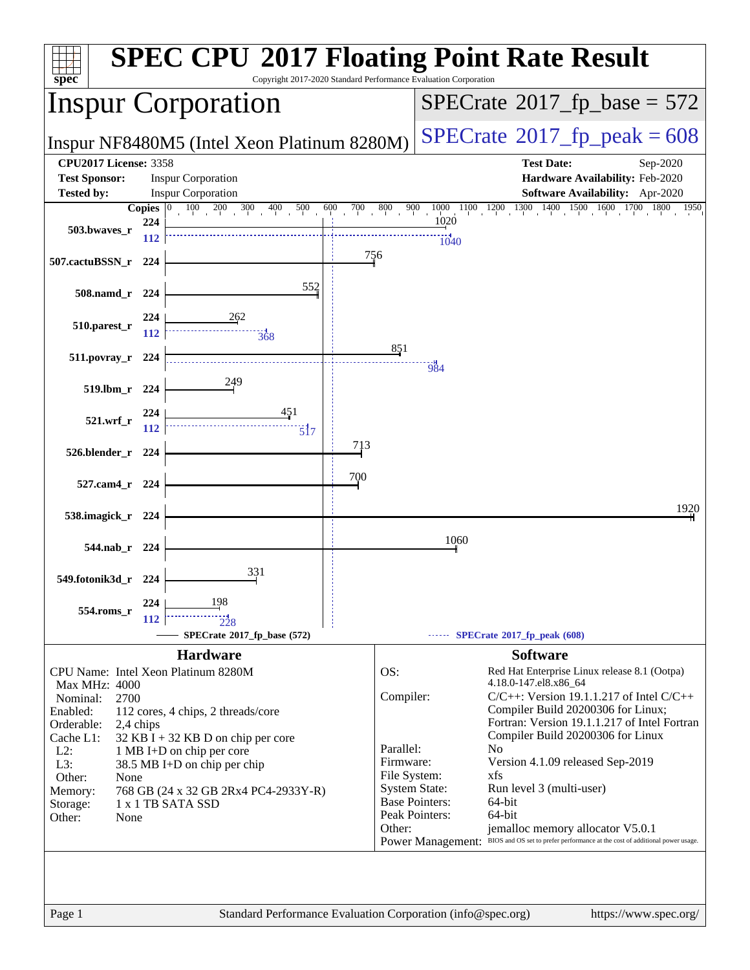| $spec^*$                                                                |              | Copyright 2017-2020 Standard Performance Evaluation Corporation |                       |                                      |                                  | <b>SPEC CPU®2017 Floating Point Rate Result</b>                                                |
|-------------------------------------------------------------------------|--------------|-----------------------------------------------------------------|-----------------------|--------------------------------------|----------------------------------|------------------------------------------------------------------------------------------------|
| <b>Inspur Corporation</b>                                               |              |                                                                 |                       | $SPECrate^{\circ}2017$ fp base = 572 |                                  |                                                                                                |
| Inspur NF8480M5 (Intel Xeon Platinum 8280M)                             |              |                                                                 |                       |                                      |                                  | $SPECTate^{\circ}2017$ _fp_peak = 608                                                          |
| <b>CPU2017 License: 3358</b>                                            |              |                                                                 |                       |                                      |                                  | <b>Test Date:</b><br>Sep-2020                                                                  |
| <b>Test Sponsor:</b>                                                    |              | <b>Inspur Corporation</b>                                       |                       |                                      |                                  | Hardware Availability: Feb-2020                                                                |
| <b>Tested by:</b>                                                       | Copies $ 0 $ | <b>Inspur Corporation</b><br>$\frac{100}{200}$ 300              | 600                   | 800                                  |                                  | Software Availability: Apr-2020<br>1950                                                        |
| 503.bwaves_r                                                            | 224          | 400<br>500                                                      | 700                   | 900                                  | 1020                             | $1000 \quad 1100 \quad 1200 \quad 1300 \quad 1400 \quad 1500 \quad 1600 \quad 1700 \quad 1800$ |
|                                                                         | <b>112</b>   |                                                                 |                       |                                      | 1040                             |                                                                                                |
| 507.cactuBSSN_r                                                         | 224          |                                                                 |                       | 756                                  |                                  |                                                                                                |
|                                                                         |              | 552                                                             |                       |                                      |                                  |                                                                                                |
| $508$ .namd_r                                                           | 224          |                                                                 |                       |                                      |                                  |                                                                                                |
| 510.parest_r                                                            | 224          |                                                                 |                       |                                      |                                  |                                                                                                |
|                                                                         | 112          | <br>368                                                         |                       | 851                                  |                                  |                                                                                                |
| 511.povray_r                                                            | 224          |                                                                 |                       |                                      | 984                              |                                                                                                |
| $519$ .lbm_r                                                            | 224          | 249                                                             |                       |                                      |                                  |                                                                                                |
|                                                                         | 224          | 451                                                             |                       |                                      |                                  |                                                                                                |
| 521.wrf                                                                 | 112          | $\overline{5}$ <sup>17</sup>                                    |                       |                                      |                                  |                                                                                                |
| 526.blender_r 224                                                       |              |                                                                 | 713                   |                                      |                                  |                                                                                                |
| 527.cam4_r 224                                                          |              |                                                                 | 700                   |                                      |                                  |                                                                                                |
|                                                                         |              |                                                                 |                       |                                      |                                  |                                                                                                |
| 538.imagick_r 224                                                       |              |                                                                 |                       |                                      |                                  | 1920                                                                                           |
| 544.nab r 224                                                           |              |                                                                 |                       |                                      | 1060                             |                                                                                                |
|                                                                         |              |                                                                 |                       |                                      |                                  |                                                                                                |
| 549.fotonik3d_r 224                                                     |              | 331                                                             |                       |                                      |                                  |                                                                                                |
| 554.roms r                                                              | 224          | 198                                                             |                       |                                      |                                  |                                                                                                |
|                                                                         | 112          |                                                                 |                       |                                      |                                  |                                                                                                |
|                                                                         |              | SPECrate®2017_fp_base (572)                                     |                       |                                      |                                  | SPECrate®2017_fp_peak (608)                                                                    |
|                                                                         |              | <b>Hardware</b>                                                 |                       |                                      |                                  | <b>Software</b>                                                                                |
|                                                                         |              | CPU Name: Intel Xeon Platinum 8280M                             |                       | OS:                                  |                                  | Red Hat Enterprise Linux release 8.1 (Ootpa)<br>4.18.0-147.el8.x86_64                          |
| Max MHz: 4000<br>Nominal:<br>2700                                       |              |                                                                 |                       | Compiler:                            |                                  | $C/C++$ : Version 19.1.1.217 of Intel $C/C++$                                                  |
| Enabled:                                                                |              | 112 cores, 4 chips, 2 threads/core                              |                       |                                      |                                  | Compiler Build 20200306 for Linux;                                                             |
| Orderable:                                                              | 2,4 chips    |                                                                 |                       |                                      |                                  | Fortran: Version 19.1.1.217 of Intel Fortran                                                   |
| Cache L1:<br>$L2$ :                                                     |              | $32$ KB I + 32 KB D on chip per core                            |                       | Parallel:                            |                                  | Compiler Build 20200306 for Linux<br>No                                                        |
| 1 MB I+D on chip per core<br>L3:<br>38.5 MB I+D on chip per chip        |              |                                                                 | Firmware:             |                                      | Version 4.1.09 released Sep-2019 |                                                                                                |
| File System:<br>Other:<br>None                                          |              |                                                                 |                       | xfs                                  |                                  |                                                                                                |
| <b>System State:</b><br>768 GB (24 x 32 GB 2Rx4 PC4-2933Y-R)<br>Memory: |              |                                                                 | <b>Base Pointers:</b> | Run level 3 (multi-user)             |                                  |                                                                                                |
| 1 x 1 TB SATA SSD<br>Storage:<br>Other:<br>None                         |              |                                                                 |                       | Peak Pointers:                       | 64-bit<br>64-bit                 |                                                                                                |
|                                                                         |              | Other:                                                          |                       | jemalloc memory allocator V5.0.1     |                                  |                                                                                                |
|                                                                         |              |                                                                 |                       |                                      |                                  | Power Management: BIOS and OS set to prefer performance at the cost of additional power usage. |
|                                                                         |              |                                                                 |                       |                                      |                                  |                                                                                                |
|                                                                         |              |                                                                 |                       |                                      |                                  |                                                                                                |
|                                                                         |              |                                                                 |                       |                                      |                                  |                                                                                                |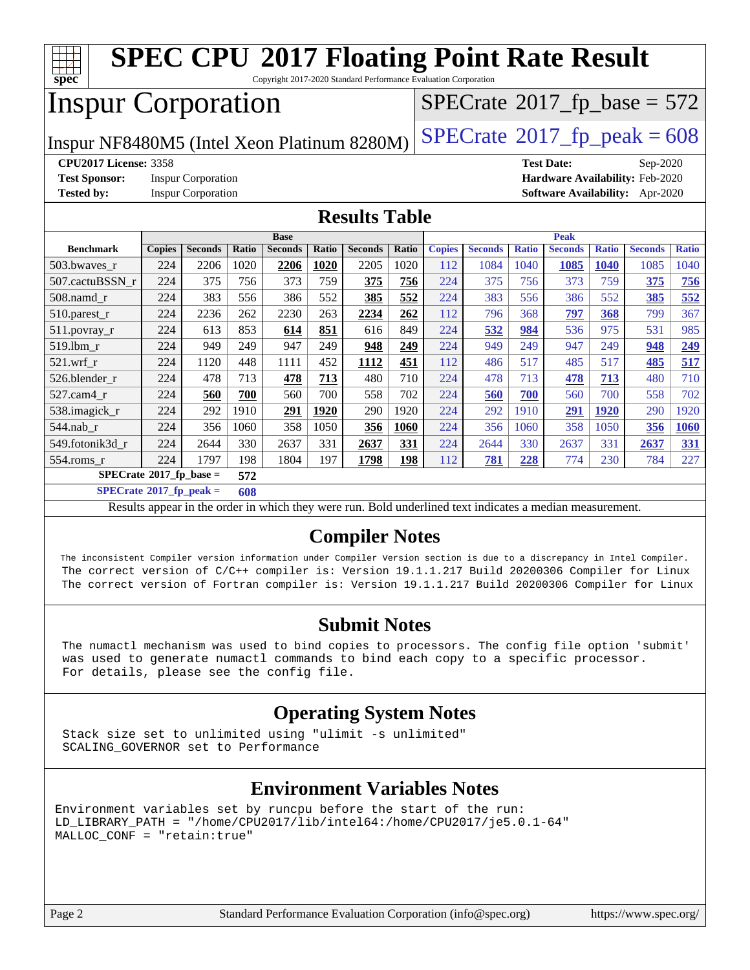

#### **[Compiler Notes](http://www.spec.org/auto/cpu2017/Docs/result-fields.html#CompilerNotes)**

 The inconsistent Compiler version information under Compiler Version section is due to a discrepancy in Intel Compiler. The correct version of C/C++ compiler is: Version 19.1.1.217 Build 20200306 Compiler for Linux The correct version of Fortran compiler is: Version 19.1.1.217 Build 20200306 Compiler for Linux

#### **[Submit Notes](http://www.spec.org/auto/cpu2017/Docs/result-fields.html#SubmitNotes)**

 The numactl mechanism was used to bind copies to processors. The config file option 'submit' was used to generate numactl commands to bind each copy to a specific processor. For details, please see the config file.

#### **[Operating System Notes](http://www.spec.org/auto/cpu2017/Docs/result-fields.html#OperatingSystemNotes)**

 Stack size set to unlimited using "ulimit -s unlimited" SCALING\_GOVERNOR set to Performance

#### **[Environment Variables Notes](http://www.spec.org/auto/cpu2017/Docs/result-fields.html#EnvironmentVariablesNotes)**

Environment variables set by runcpu before the start of the run: LD\_LIBRARY\_PATH = "/home/CPU2017/lib/intel64:/home/CPU2017/je5.0.1-64" MALLOC\_CONF = "retain:true"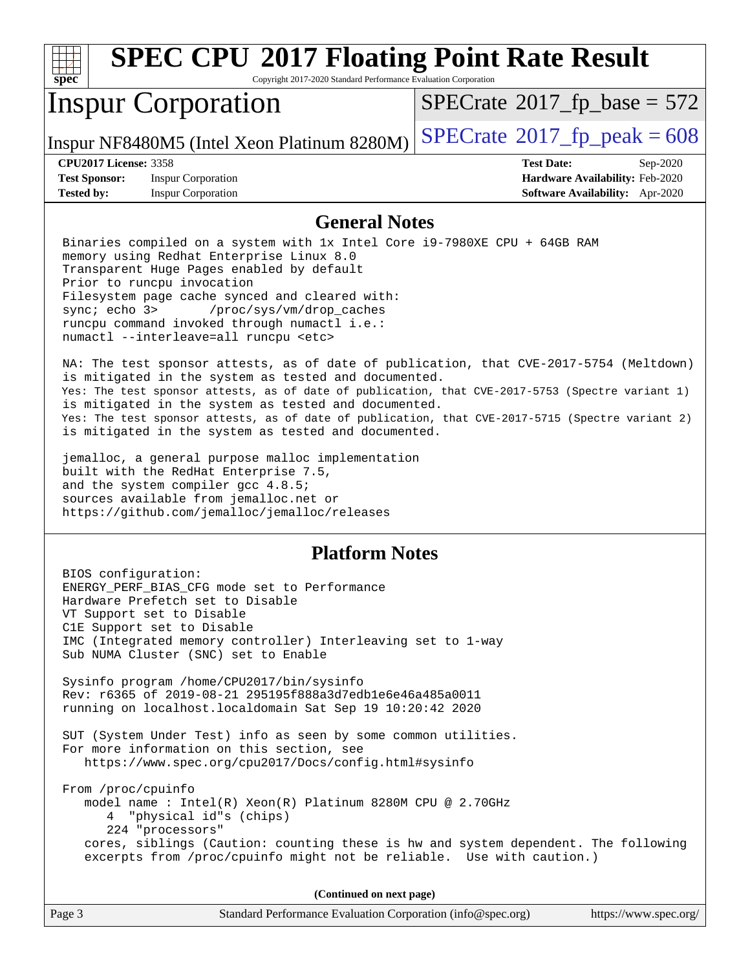

Copyright 2017-2020 Standard Performance Evaluation Corporation

## Inspur Corporation

 $SPECTate$ <sup>®</sup>[2017\\_fp\\_base =](http://www.spec.org/auto/cpu2017/Docs/result-fields.html#SPECrate2017fpbase) 572

Inspur NF8480M5 (Intel Xeon Platinum 8280M)  $\left|$  [SPECrate](http://www.spec.org/auto/cpu2017/Docs/result-fields.html#SPECrate2017fppeak)<sup>®</sup>[2017\\_fp\\_peak = 6](http://www.spec.org/auto/cpu2017/Docs/result-fields.html#SPECrate2017fppeak)08

**[Test Sponsor:](http://www.spec.org/auto/cpu2017/Docs/result-fields.html#TestSponsor)** Inspur Corporation **[Hardware Availability:](http://www.spec.org/auto/cpu2017/Docs/result-fields.html#HardwareAvailability)** Feb-2020 **[Tested by:](http://www.spec.org/auto/cpu2017/Docs/result-fields.html#Testedby)** Inspur Corporation **[Software Availability:](http://www.spec.org/auto/cpu2017/Docs/result-fields.html#SoftwareAvailability)** Apr-2020

**[CPU2017 License:](http://www.spec.org/auto/cpu2017/Docs/result-fields.html#CPU2017License)** 3358 **[Test Date:](http://www.spec.org/auto/cpu2017/Docs/result-fields.html#TestDate)** Sep-2020

#### **[General Notes](http://www.spec.org/auto/cpu2017/Docs/result-fields.html#GeneralNotes)**

 Binaries compiled on a system with 1x Intel Core i9-7980XE CPU + 64GB RAM memory using Redhat Enterprise Linux 8.0 Transparent Huge Pages enabled by default Prior to runcpu invocation Filesystem page cache synced and cleared with: sync; echo 3> /proc/sys/vm/drop\_caches runcpu command invoked through numactl i.e.: numactl --interleave=all runcpu <etc>

 NA: The test sponsor attests, as of date of publication, that CVE-2017-5754 (Meltdown) is mitigated in the system as tested and documented. Yes: The test sponsor attests, as of date of publication, that CVE-2017-5753 (Spectre variant 1) is mitigated in the system as tested and documented. Yes: The test sponsor attests, as of date of publication, that CVE-2017-5715 (Spectre variant 2) is mitigated in the system as tested and documented.

 jemalloc, a general purpose malloc implementation built with the RedHat Enterprise 7.5, and the system compiler gcc 4.8.5; sources available from jemalloc.net or <https://github.com/jemalloc/jemalloc/releases>

#### **[Platform Notes](http://www.spec.org/auto/cpu2017/Docs/result-fields.html#PlatformNotes)**

 BIOS configuration: ENERGY\_PERF\_BIAS\_CFG mode set to Performance Hardware Prefetch set to Disable VT Support set to Disable C1E Support set to Disable IMC (Integrated memory controller) Interleaving set to 1-way Sub NUMA Cluster (SNC) set to Enable Sysinfo program /home/CPU2017/bin/sysinfo Rev: r6365 of 2019-08-21 295195f888a3d7edb1e6e46a485a0011 running on localhost.localdomain Sat Sep 19 10:20:42 2020 SUT (System Under Test) info as seen by some common utilities. For more information on this section, see <https://www.spec.org/cpu2017/Docs/config.html#sysinfo> From /proc/cpuinfo model name : Intel(R) Xeon(R) Platinum 8280M CPU @ 2.70GHz 4 "physical id"s (chips) 224 "processors" cores, siblings (Caution: counting these is hw and system dependent. The following excerpts from /proc/cpuinfo might not be reliable. Use with caution.)

**(Continued on next page)**

| Page 2<br>Standard Performance Evaluation Corporation (info@spec.org) | https://www.spec.org/ |
|-----------------------------------------------------------------------|-----------------------|
|-----------------------------------------------------------------------|-----------------------|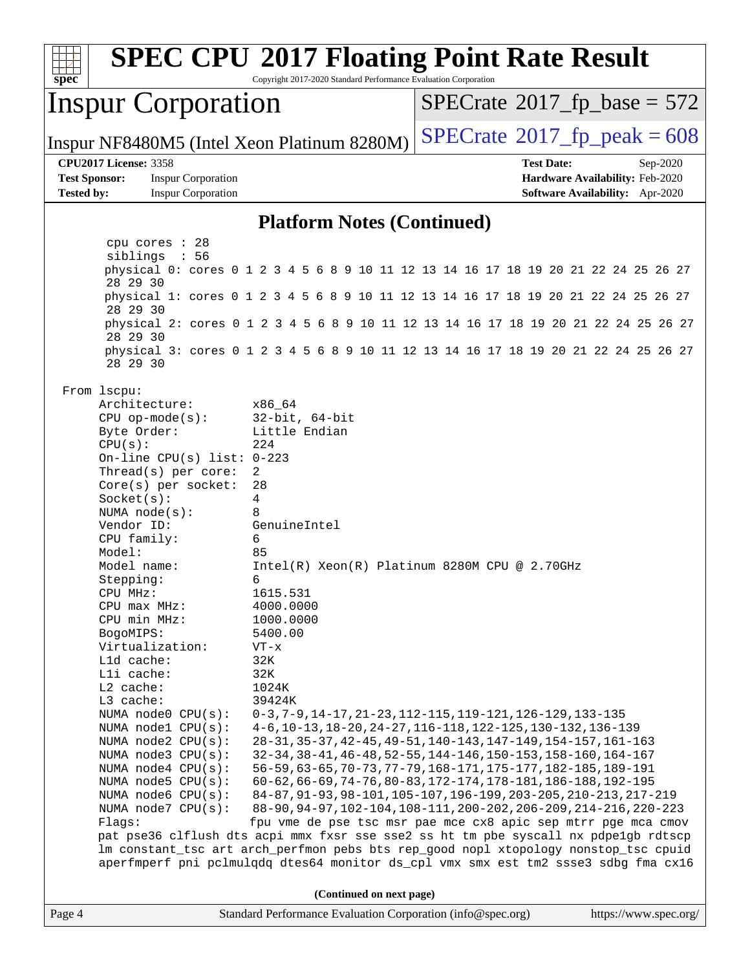

Page 4 Standard Performance Evaluation Corporation [\(info@spec.org\)](mailto:info@spec.org) <https://www.spec.org/>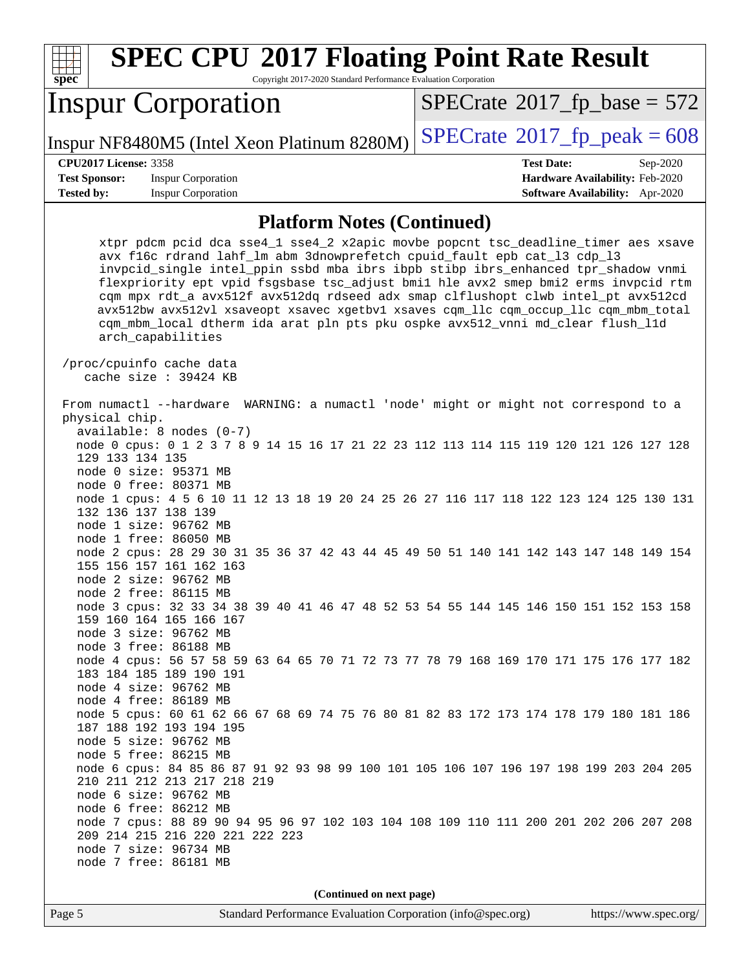| spec <sup>®</sup>                                                                                                                                            | <b>SPEC CPU®2017 Floating Point Rate Result</b><br>Copyright 2017-2020 Standard Performance Evaluation Corporation |  |                   |                                            |
|--------------------------------------------------------------------------------------------------------------------------------------------------------------|--------------------------------------------------------------------------------------------------------------------|--|-------------------|--------------------------------------------|
|                                                                                                                                                              | <b>Inspur Corporation</b>                                                                                          |  |                   | $SPECrate^{\circ}2017$ fp base = 572       |
|                                                                                                                                                              | Inspur NF8480M5 (Intel Xeon Platinum 8280M)                                                                        |  |                   | $SPECTate$ <sup>®</sup> 2017_fp_peak = 608 |
| <b>CPU2017 License: 3358</b>                                                                                                                                 |                                                                                                                    |  | <b>Test Date:</b> | $Sep-2020$                                 |
| <b>Test Sponsor:</b>                                                                                                                                         | <b>Inspur Corporation</b>                                                                                          |  |                   | <b>Hardware Availability: Feb-2020</b>     |
| <b>Tested by:</b>                                                                                                                                            | <b>Inspur Corporation</b>                                                                                          |  |                   | <b>Software Availability:</b> Apr-2020     |
| <b>Platform Notes (Continued)</b>                                                                                                                            |                                                                                                                    |  |                   |                                            |
| xtpr pdcm pcid dca sse4_1 sse4_2 x2apic movbe popcnt tsc_deadline_timer aes xsave<br>avx f16c rdrand lahf_lm abm 3dnowprefetch cpuid_fault epb cat_13 cdp_13 |                                                                                                                    |  |                   |                                            |

 invpcid\_single intel\_ppin ssbd mba ibrs ibpb stibp ibrs\_enhanced tpr\_shadow vnmi flexpriority ept vpid fsgsbase tsc\_adjust bmi1 hle avx2 smep bmi2 erms invpcid rtm cqm mpx rdt\_a avx512f avx512dq rdseed adx smap clflushopt clwb intel\_pt avx512cd avx512bw avx512vl xsaveopt xsavec xgetbv1 xsaves cqm\_llc cqm\_occup\_llc cqm\_mbm\_total cqm\_mbm\_local dtherm ida arat pln pts pku ospke avx512\_vnni md\_clear flush\_l1d arch\_capabilities /proc/cpuinfo cache data cache size : 39424 KB From numactl --hardware WARNING: a numactl 'node' might or might not correspond to a physical chip. available: 8 nodes (0-7) node 0 cpus: 0 1 2 3 7 8 9 14 15 16 17 21 22 23 112 113 114 115 119 120 121 126 127 128 129 133 134 135

 node 0 size: 95371 MB node 0 free: 80371 MB

 node 1 cpus: 4 5 6 10 11 12 13 18 19 20 24 25 26 27 116 117 118 122 123 124 125 130 131 132 136 137 138 139

 node 1 size: 96762 MB node 1 free: 86050 MB

 node 2 cpus: 28 29 30 31 35 36 37 42 43 44 45 49 50 51 140 141 142 143 147 148 149 154 155 156 157 161 162 163 node 2 size: 96762 MB

node 2 free: 86115 MB

 node 3 cpus: 32 33 34 38 39 40 41 46 47 48 52 53 54 55 144 145 146 150 151 152 153 158 159 160 164 165 166 167 node 3 size: 96762 MB

 node 3 free: 86188 MB node 4 cpus: 56 57 58 59 63 64 65 70 71 72 73 77 78 79 168 169 170 171 175 176 177 182 183 184 185 189 190 191

 node 4 free: 86189 MB node 5 cpus: 60 61 62 66 67 68 69 74 75 76 80 81 82 83 172 173 174 178 179 180 181 186 187 188 192 193 194 195

 node 5 size: 96762 MB node 5 free: 86215 MB

node 7 free: 86181 MB

node 4 size: 96762 MB

 node 6 cpus: 84 85 86 87 91 92 93 98 99 100 101 105 106 107 196 197 198 199 203 204 205 210 211 212 213 217 218 219 node 6 size: 96762 MB

 node 6 free: 86212 MB node 7 cpus: 88 89 90 94 95 96 97 102 103 104 108 109 110 111 200 201 202 206 207 208 209 214 215 216 220 221 222 223 node 7 size: 96734 MB

**(Continued on next page)**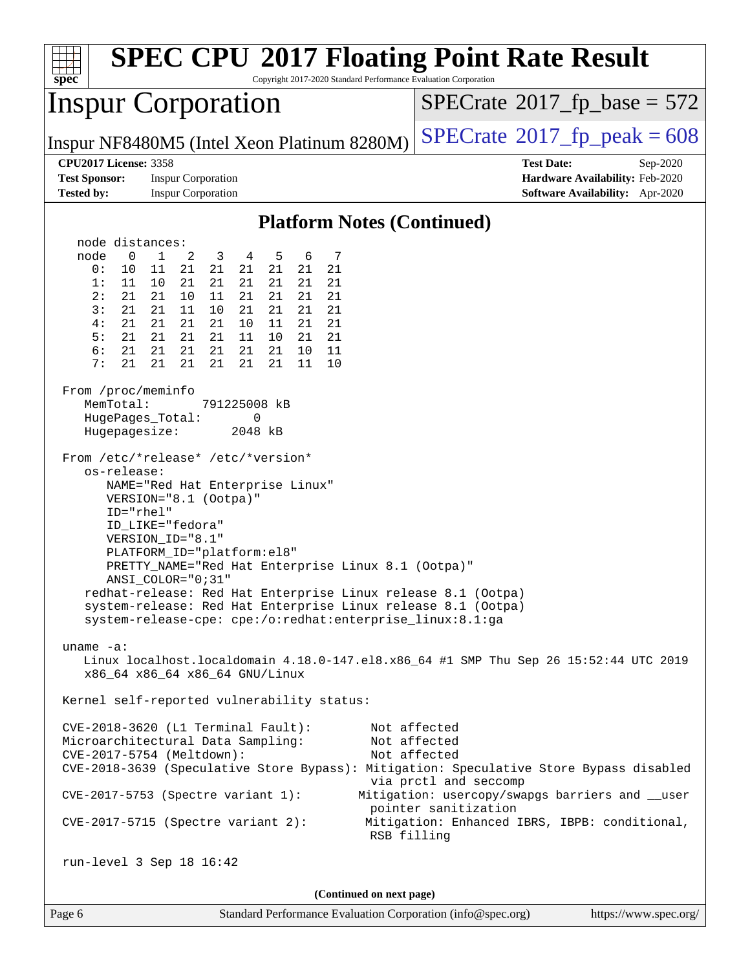| <b>SPEC CPU®2017 Floating Point Rate Result</b><br>Copyright 2017-2020 Standard Performance Evaluation Corporation<br>spec <sup>®</sup>                                                                                                                                                                                                                                                                                                                                                                                                                                                                                                                                                                                                                                                                                                                                                                                                                                                                                                                                                                                                                                                                                                                                                                                                                                                                                                                                                                                                                                                             |                                                                                                                                                                                                   |  |  |  |  |
|-----------------------------------------------------------------------------------------------------------------------------------------------------------------------------------------------------------------------------------------------------------------------------------------------------------------------------------------------------------------------------------------------------------------------------------------------------------------------------------------------------------------------------------------------------------------------------------------------------------------------------------------------------------------------------------------------------------------------------------------------------------------------------------------------------------------------------------------------------------------------------------------------------------------------------------------------------------------------------------------------------------------------------------------------------------------------------------------------------------------------------------------------------------------------------------------------------------------------------------------------------------------------------------------------------------------------------------------------------------------------------------------------------------------------------------------------------------------------------------------------------------------------------------------------------------------------------------------------------|---------------------------------------------------------------------------------------------------------------------------------------------------------------------------------------------------|--|--|--|--|
| <b>Inspur Corporation</b>                                                                                                                                                                                                                                                                                                                                                                                                                                                                                                                                                                                                                                                                                                                                                                                                                                                                                                                                                                                                                                                                                                                                                                                                                                                                                                                                                                                                                                                                                                                                                                           | $SPECrate^{\circ}2017$ _fp_base = 572                                                                                                                                                             |  |  |  |  |
| Inspur NF8480M5 (Intel Xeon Platinum 8280M)                                                                                                                                                                                                                                                                                                                                                                                                                                                                                                                                                                                                                                                                                                                                                                                                                                                                                                                                                                                                                                                                                                                                                                                                                                                                                                                                                                                                                                                                                                                                                         | $SPECTate@2017_fp\_peak = 608$                                                                                                                                                                    |  |  |  |  |
| <b>CPU2017 License: 3358</b><br><b>Test Sponsor:</b><br><b>Inspur Corporation</b><br><b>Tested by:</b><br><b>Inspur Corporation</b>                                                                                                                                                                                                                                                                                                                                                                                                                                                                                                                                                                                                                                                                                                                                                                                                                                                                                                                                                                                                                                                                                                                                                                                                                                                                                                                                                                                                                                                                 | <b>Test Date:</b><br>Sep-2020<br>Hardware Availability: Feb-2020<br>Software Availability: Apr-2020                                                                                               |  |  |  |  |
| <b>Platform Notes (Continued)</b>                                                                                                                                                                                                                                                                                                                                                                                                                                                                                                                                                                                                                                                                                                                                                                                                                                                                                                                                                                                                                                                                                                                                                                                                                                                                                                                                                                                                                                                                                                                                                                   |                                                                                                                                                                                                   |  |  |  |  |
| node distances:<br>node<br>$\mathbf 0$<br>$\mathbf{1}$<br>2<br>5<br>6<br>7<br>3<br>4<br>21<br>21<br>21<br>0:<br>10<br>21<br>21<br>21<br>11<br>1:<br>11<br>10<br>21<br>21<br>21<br>21<br>21<br>21<br>2:<br>21<br>21<br>10<br>11<br>21<br>21<br>21<br>21<br>3:<br>21<br>21<br>11<br>10<br>21<br>21<br>21<br>21<br>21<br>21<br>21<br>4 :<br>21<br>21<br>10<br>11<br>21<br>5:<br>21<br>21<br>21<br>21<br>21<br>11<br>10<br>21<br>6:<br>21<br>21<br>21<br>21<br>21<br>21<br>10<br>11<br>21<br>21<br>7:<br>21<br>21<br>21<br>21<br>11<br>10<br>From /proc/meminfo<br>MemTotal:<br>791225008 kB<br>HugePages_Total:<br>0<br>Hugepagesize:<br>2048 kB<br>From /etc/*release* /etc/*version*<br>os-release:<br>NAME="Red Hat Enterprise Linux"<br>VERSION="8.1 (Ootpa)"<br>ID="rhel"<br>ID LIKE="fedora"<br>VERSION_ID="8.1"<br>PLATFORM_ID="platform:el8"<br>PRETTY_NAME="Red Hat Enterprise Linux 8.1 (Ootpa)"<br>ANSI_COLOR="0;31"<br>redhat-release: Red Hat Enterprise Linux release 8.1 (Ootpa)<br>system-release: Red Hat Enterprise Linux release 8.1 (Ootpa)<br>system-release-cpe: cpe:/o:redhat:enterprise_linux:8.1:ga<br>uname $-a$ :<br>Linux localhost.localdomain 4.18.0-147.el8.x86_64 #1 SMP Thu Sep 26 15:52:44 UTC 2019<br>x86_64 x86_64 x86_64 GNU/Linux<br>Kernel self-reported vulnerability status:<br>CVE-2018-3620 (L1 Terminal Fault):<br>Microarchitectural Data Sampling:<br>CVE-2017-5754 (Meltdown):<br>CVE-2018-3639 (Speculative Store Bypass): Mitigation: Speculative Store Bypass disabled<br>CVE-2017-5753 (Spectre variant 1):<br>$CVE-2017-5715$ (Spectre variant 2): | Not affected<br>Not affected<br>Not affected<br>via prctl and seccomp<br>Mitigation: usercopy/swapgs barriers and __user<br>pointer sanitization<br>Mitigation: Enhanced IBRS, IBPB: conditional, |  |  |  |  |
| RSB filling                                                                                                                                                                                                                                                                                                                                                                                                                                                                                                                                                                                                                                                                                                                                                                                                                                                                                                                                                                                                                                                                                                                                                                                                                                                                                                                                                                                                                                                                                                                                                                                         |                                                                                                                                                                                                   |  |  |  |  |
| run-level 3 Sep 18 16:42<br>(Continued on next page)                                                                                                                                                                                                                                                                                                                                                                                                                                                                                                                                                                                                                                                                                                                                                                                                                                                                                                                                                                                                                                                                                                                                                                                                                                                                                                                                                                                                                                                                                                                                                |                                                                                                                                                                                                   |  |  |  |  |
|                                                                                                                                                                                                                                                                                                                                                                                                                                                                                                                                                                                                                                                                                                                                                                                                                                                                                                                                                                                                                                                                                                                                                                                                                                                                                                                                                                                                                                                                                                                                                                                                     |                                                                                                                                                                                                   |  |  |  |  |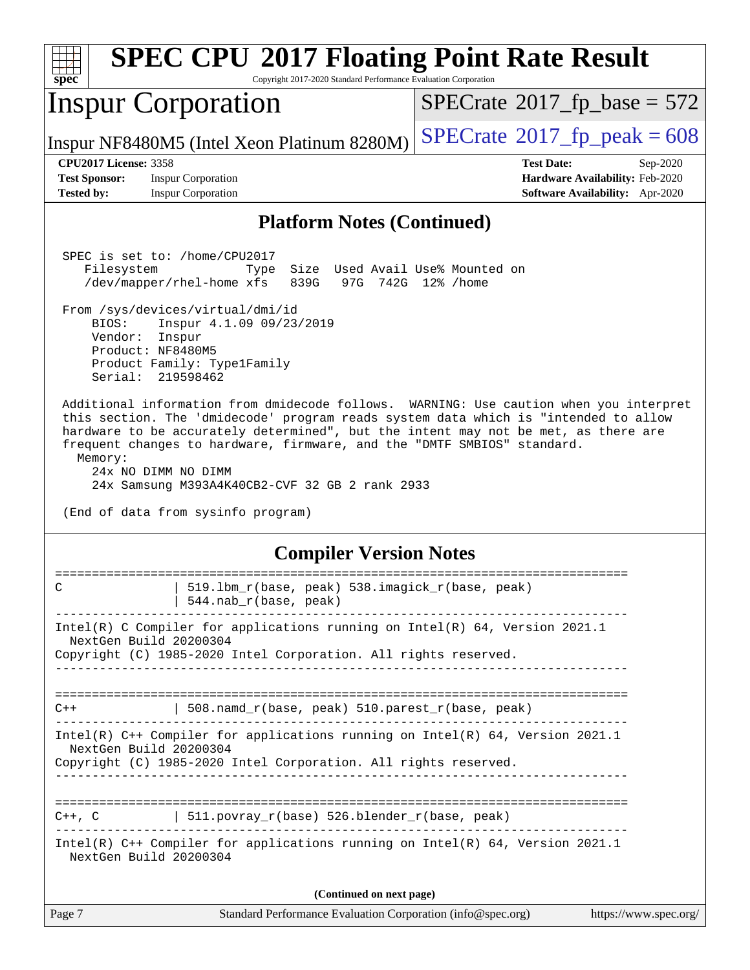| spec                                                                                                                                                                                                                                                                                                                                                                                                                                                                     | <b>SPEC CPU®2017 Floating Point Rate Result</b><br>Copyright 2017-2020 Standard Performance Evaluation Corporation                                                                                                                                               |                                                                  |  |  |
|--------------------------------------------------------------------------------------------------------------------------------------------------------------------------------------------------------------------------------------------------------------------------------------------------------------------------------------------------------------------------------------------------------------------------------------------------------------------------|------------------------------------------------------------------------------------------------------------------------------------------------------------------------------------------------------------------------------------------------------------------|------------------------------------------------------------------|--|--|
|                                                                                                                                                                                                                                                                                                                                                                                                                                                                          | <b>Inspur Corporation</b>                                                                                                                                                                                                                                        | $SPECrate^{\circ}2017$ [p base = 572                             |  |  |
|                                                                                                                                                                                                                                                                                                                                                                                                                                                                          | Inspur NF8480M5 (Intel Xeon Platinum 8280M)                                                                                                                                                                                                                      | $SPECTate$ <sup>®</sup> 2017_fp_peak = 608                       |  |  |
| <b>CPU2017 License: 3358</b><br><b>Test Sponsor:</b>                                                                                                                                                                                                                                                                                                                                                                                                                     | <b>Inspur Corporation</b>                                                                                                                                                                                                                                        | <b>Test Date:</b><br>Sep-2020<br>Hardware Availability: Feb-2020 |  |  |
| <b>Tested by:</b>                                                                                                                                                                                                                                                                                                                                                                                                                                                        | <b>Inspur Corporation</b>                                                                                                                                                                                                                                        | <b>Software Availability:</b> Apr-2020                           |  |  |
|                                                                                                                                                                                                                                                                                                                                                                                                                                                                          | <b>Platform Notes (Continued)</b>                                                                                                                                                                                                                                |                                                                  |  |  |
| Filesystem<br>BIOS:<br>Serial:                                                                                                                                                                                                                                                                                                                                                                                                                                           | SPEC is set to: /home/CPU2017<br>Size Used Avail Use% Mounted on<br>Type<br>839G<br>/dev/mapper/rhel-home xfs<br>From /sys/devices/virtual/dmi/id<br>Inspur 4.1.09 09/23/2019<br>Vendor: Inspur<br>Product: NF8480M5<br>Product Family: Type1Family<br>219598462 | 97G 742G 12% / home                                              |  |  |
| Additional information from dmidecode follows. WARNING: Use caution when you interpret<br>this section. The 'dmidecode' program reads system data which is "intended to allow<br>hardware to be accurately determined", but the intent may not be met, as there are<br>frequent changes to hardware, firmware, and the "DMTF SMBIOS" standard.<br>Memory:<br>24x NO DIMM NO DIMM<br>24x Samsung M393A4K40CB2-CVF 32 GB 2 rank 2933<br>(End of data from sysinfo program) |                                                                                                                                                                                                                                                                  |                                                                  |  |  |
|                                                                                                                                                                                                                                                                                                                                                                                                                                                                          | <b>Compiler Version Notes</b>                                                                                                                                                                                                                                    |                                                                  |  |  |
|                                                                                                                                                                                                                                                                                                                                                                                                                                                                          | 519.1bm_r(base, peak) 538.imagick_r(base, peak)<br>544.nab_r(base, peak)                                                                                                                                                                                         |                                                                  |  |  |
| Intel(R) C Compiler for applications running on Intel(R) 64, Version 2021.1<br>NextGen Build 20200304<br>Copyright (C) 1985-2020 Intel Corporation. All rights reserved.                                                                                                                                                                                                                                                                                                 |                                                                                                                                                                                                                                                                  |                                                                  |  |  |
| C++                                                                                                                                                                                                                                                                                                                                                                                                                                                                      | 508.namd_r(base, peak) 510.parest_r(base, peak)                                                                                                                                                                                                                  |                                                                  |  |  |
|                                                                                                                                                                                                                                                                                                                                                                                                                                                                          | Intel(R) C++ Compiler for applications running on Intel(R) 64, Version 2021.1<br>NextGen Build 20200304<br>Copyright (C) 1985-2020 Intel Corporation. All rights reserved.                                                                                       |                                                                  |  |  |
|                                                                                                                                                                                                                                                                                                                                                                                                                                                                          | $C++$ , C $\qquad$   511.povray_r(base) 526.blender_r(base, peak)                                                                                                                                                                                                |                                                                  |  |  |
|                                                                                                                                                                                                                                                                                                                                                                                                                                                                          | Intel(R) $C++$ Compiler for applications running on Intel(R) 64, Version 2021.1<br>NextGen Build 20200304                                                                                                                                                        |                                                                  |  |  |
|                                                                                                                                                                                                                                                                                                                                                                                                                                                                          | (Continued on next page)                                                                                                                                                                                                                                         |                                                                  |  |  |
| Page 7                                                                                                                                                                                                                                                                                                                                                                                                                                                                   | Standard Performance Evaluation Corporation (info@spec.org)                                                                                                                                                                                                      | https://www.spec.org/                                            |  |  |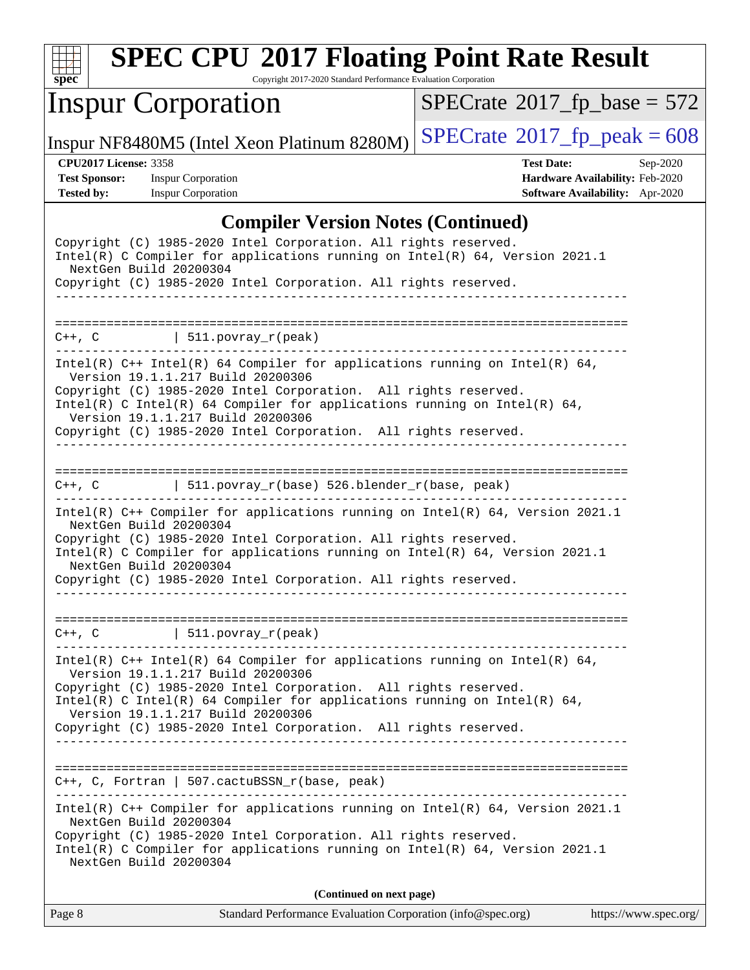

Copyright 2017-2020 Standard Performance Evaluation Corporation

## Inspur Corporation

 $SPECTate$ <sup>®</sup>[2017\\_fp\\_base =](http://www.spec.org/auto/cpu2017/Docs/result-fields.html#SPECrate2017fpbase) 572

Inspur NF8480M5 (Intel Xeon Platinum 8280M)  $\left|$  [SPECrate](http://www.spec.org/auto/cpu2017/Docs/result-fields.html#SPECrate2017fppeak)<sup>®</sup>[2017\\_fp\\_peak = 6](http://www.spec.org/auto/cpu2017/Docs/result-fields.html#SPECrate2017fppeak)08

**[Tested by:](http://www.spec.org/auto/cpu2017/Docs/result-fields.html#Testedby)** Inspur Corporation **[Software Availability:](http://www.spec.org/auto/cpu2017/Docs/result-fields.html#SoftwareAvailability)** Apr-2020

**[CPU2017 License:](http://www.spec.org/auto/cpu2017/Docs/result-fields.html#CPU2017License)** 3358 **[Test Date:](http://www.spec.org/auto/cpu2017/Docs/result-fields.html#TestDate)** Sep-2020 **[Test Sponsor:](http://www.spec.org/auto/cpu2017/Docs/result-fields.html#TestSponsor)** Inspur Corporation **[Hardware Availability:](http://www.spec.org/auto/cpu2017/Docs/result-fields.html#HardwareAvailability)** Feb-2020

#### **[Compiler Version Notes \(Continued\)](http://www.spec.org/auto/cpu2017/Docs/result-fields.html#CompilerVersionNotes)**

| Copyright (C) 1985-2020 Intel Corporation. All rights reserved.<br>Intel(R) C Compiler for applications running on $Intel(R) 64$ , Version 2021.1<br>NextGen Build 20200304<br>Copyright (C) 1985-2020 Intel Corporation. All rights reserved.                                                                                                                             |  |  |  |  |
|----------------------------------------------------------------------------------------------------------------------------------------------------------------------------------------------------------------------------------------------------------------------------------------------------------------------------------------------------------------------------|--|--|--|--|
| $C++$ , C $\qquad \qquad$ 511. povray_r(peak)                                                                                                                                                                                                                                                                                                                              |  |  |  |  |
| Intel(R) $C++$ Intel(R) 64 Compiler for applications running on Intel(R) 64,<br>Version 19.1.1.217 Build 20200306<br>Copyright (C) 1985-2020 Intel Corporation. All rights reserved.<br>$Intel(R)$ C Intel(R) 64 Compiler for applications running on Intel(R) 64,<br>Version 19.1.1.217 Build 20200306<br>Copyright (C) 1985-2020 Intel Corporation. All rights reserved. |  |  |  |  |
| $C++$ , C $\qquad \qquad$ 511.povray_r(base) 526.blender_r(base, peak)<br>. <u>_ _ _ _ _ _ _ _ _ _ _ _</u> _                                                                                                                                                                                                                                                               |  |  |  |  |
| Intel(R) C++ Compiler for applications running on Intel(R) 64, Version 2021.1<br>NextGen Build 20200304<br>Copyright (C) 1985-2020 Intel Corporation. All rights reserved.<br>Intel(R) C Compiler for applications running on Intel(R) 64, Version 2021.1<br>NextGen Build 20200304<br>Copyright (C) 1985-2020 Intel Corporation. All rights reserved.                     |  |  |  |  |
| $C++$ , C $\qquad \qquad$ 511.povray_r(peak)                                                                                                                                                                                                                                                                                                                               |  |  |  |  |
| Intel(R) $C++$ Intel(R) 64 Compiler for applications running on Intel(R) 64,<br>Version 19.1.1.217 Build 20200306<br>Copyright (C) 1985-2020 Intel Corporation. All rights reserved.<br>$Intel(R)$ C Intel(R) 64 Compiler for applications running on Intel(R) 64,<br>Version 19.1.1.217 Build 20200306<br>Copyright (C) 1985-2020 Intel Corporation. All rights reserved. |  |  |  |  |
|                                                                                                                                                                                                                                                                                                                                                                            |  |  |  |  |
| C++, C, Fortran   507.cactuBSSN_r(base, peak)                                                                                                                                                                                                                                                                                                                              |  |  |  |  |
| Intel(R) $C++$ Compiler for applications running on Intel(R) 64, Version 2021.1<br>NextGen Build 20200304<br>Copyright (C) 1985-2020 Intel Corporation. All rights reserved.<br>Intel(R) C Compiler for applications running on Intel(R) 64, Version 2021.1<br>NextGen Build 20200304                                                                                      |  |  |  |  |
| (Continued on next page)                                                                                                                                                                                                                                                                                                                                                   |  |  |  |  |

Page 8 Standard Performance Evaluation Corporation [\(info@spec.org\)](mailto:info@spec.org) <https://www.spec.org/>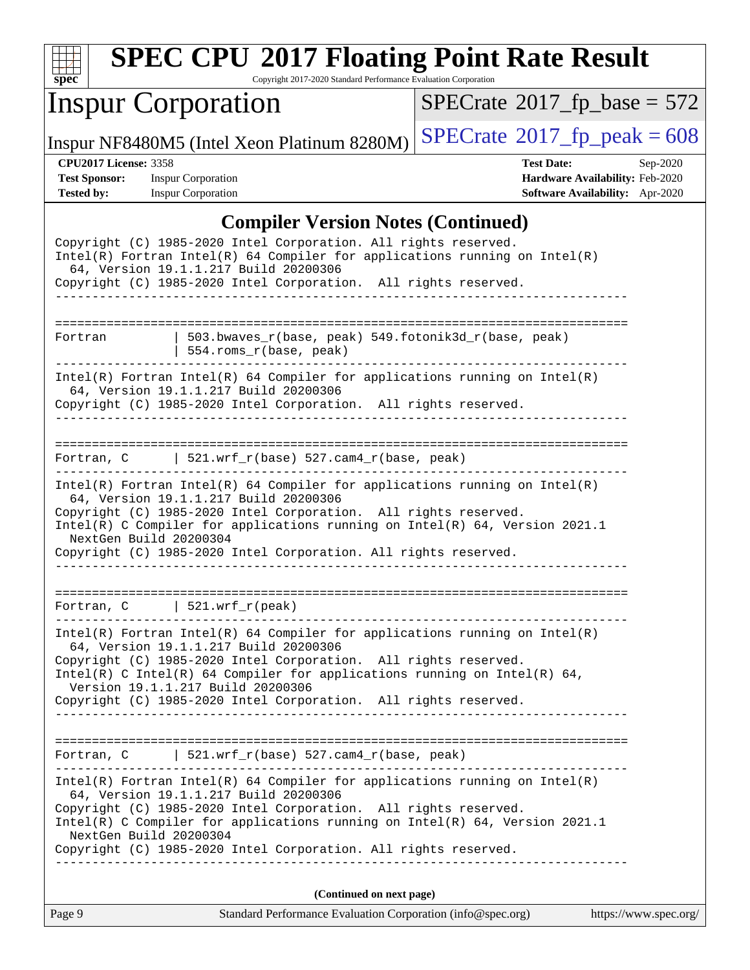| S)<br>ve |  |  |  |  |  |
|----------|--|--|--|--|--|

Copyright 2017-2020 Standard Performance Evaluation Corporation

## Inspur Corporation

 $SPECTate$ <sup>®</sup>[2017\\_fp\\_base =](http://www.spec.org/auto/cpu2017/Docs/result-fields.html#SPECrate2017fpbase) 572

Inspur NF8480M5 (Intel Xeon Platinum 8280M)  $\left|$  [SPECrate](http://www.spec.org/auto/cpu2017/Docs/result-fields.html#SPECrate2017fppeak)<sup>®</sup>[2017\\_fp\\_peak = 6](http://www.spec.org/auto/cpu2017/Docs/result-fields.html#SPECrate2017fppeak)08

**[CPU2017 License:](http://www.spec.org/auto/cpu2017/Docs/result-fields.html#CPU2017License)** 3358 **[Test Date:](http://www.spec.org/auto/cpu2017/Docs/result-fields.html#TestDate)** Sep-2020 **[Test Sponsor:](http://www.spec.org/auto/cpu2017/Docs/result-fields.html#TestSponsor)** Inspur Corporation **[Hardware Availability:](http://www.spec.org/auto/cpu2017/Docs/result-fields.html#HardwareAvailability)** Feb-2020 **[Tested by:](http://www.spec.org/auto/cpu2017/Docs/result-fields.html#Testedby)** Inspur Corporation **[Software Availability:](http://www.spec.org/auto/cpu2017/Docs/result-fields.html#SoftwareAvailability)** Apr-2020

#### **[Compiler Version Notes \(Continued\)](http://www.spec.org/auto/cpu2017/Docs/result-fields.html#CompilerVersionNotes)**

|                        | Complier version indies (Communed)                                                                                                                                                                                                                                                                                                                                           |                       |
|------------------------|------------------------------------------------------------------------------------------------------------------------------------------------------------------------------------------------------------------------------------------------------------------------------------------------------------------------------------------------------------------------------|-----------------------|
|                        | Copyright (C) 1985-2020 Intel Corporation. All rights reserved.<br>$Intel(R)$ Fortran Intel(R) 64 Compiler for applications running on Intel(R)<br>64, Version 19.1.1.217 Build 20200306<br>Copyright (C) 1985-2020 Intel Corporation. All rights reserved.                                                                                                                  |                       |
|                        |                                                                                                                                                                                                                                                                                                                                                                              |                       |
| Fortran                | $503.bwaves_r(base, peak)$ 549.fotonik3d_r(base, peak)<br>  554.roms_r(base, peak)                                                                                                                                                                                                                                                                                           |                       |
|                        | $Intel(R)$ Fortran Intel(R) 64 Compiler for applications running on Intel(R)<br>64, Version 19.1.1.217 Build 20200306<br>Copyright (C) 1985-2020 Intel Corporation. All rights reserved.<br>__________________________                                                                                                                                                       |                       |
|                        | Fortran, C $521.wrf_r(base) 527.cam4_r(base, peak)$                                                                                                                                                                                                                                                                                                                          |                       |
| NextGen Build 20200304 | $Intel(R)$ Fortran Intel(R) 64 Compiler for applications running on Intel(R)<br>64, Version 19.1.1.217 Build 20200306<br>Copyright (C) 1985-2020 Intel Corporation. All rights reserved.<br>Intel(R) C Compiler for applications running on $Intel(R)$ 64, Version 2021.1<br>Copyright (C) 1985-2020 Intel Corporation. All rights reserved.                                 |                       |
|                        | Fortran, $C$   521.wrf_r(peak)                                                                                                                                                                                                                                                                                                                                               |                       |
|                        | $Intel(R)$ Fortran Intel(R) 64 Compiler for applications running on Intel(R)<br>64, Version 19.1.1.217 Build 20200306<br>Copyright (C) 1985-2020 Intel Corporation. All rights reserved.<br>Intel(R) C Intel(R) 64 Compiler for applications running on Intel(R) 64,<br>Version 19.1.1.217 Build 20200306<br>Copyright (C) 1985-2020 Intel Corporation. All rights reserved. |                       |
|                        | Fortran, C $\vert$ 521.wrf_r(base) 527.cam4_r(base, peak)                                                                                                                                                                                                                                                                                                                    |                       |
| NextGen Build 20200304 | $Intel(R)$ Fortran Intel(R) 64 Compiler for applications running on Intel(R)<br>64, Version 19.1.1.217 Build 20200306<br>Copyright (C) 1985-2020 Intel Corporation. All rights reserved.<br>Intel(R) C Compiler for applications running on $Intel(R)$ 64, Version 2021.1<br>Copyright (C) 1985-2020 Intel Corporation. All rights reserved.                                 |                       |
|                        | (Continued on next page)                                                                                                                                                                                                                                                                                                                                                     |                       |
| Page 9                 | Standard Performance Evaluation Corporation (info@spec.org)                                                                                                                                                                                                                                                                                                                  | https://www.spec.org/ |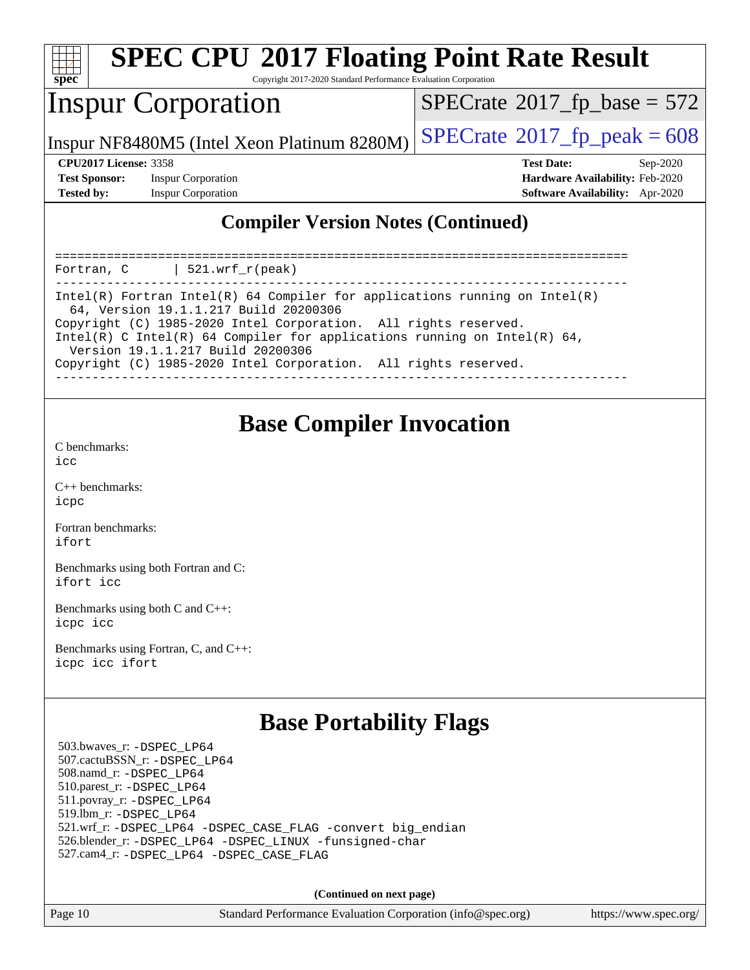

Copyright 2017-2020 Standard Performance Evaluation Corporation

#### Inspur Corporation

 $SPECTate$ <sup>®</sup>[2017\\_fp\\_base =](http://www.spec.org/auto/cpu2017/Docs/result-fields.html#SPECrate2017fpbase) 572

Inspur NF8480M5 (Intel Xeon Platinum 8280M)  $\left|$  [SPECrate](http://www.spec.org/auto/cpu2017/Docs/result-fields.html#SPECrate2017fppeak)®[2017\\_fp\\_peak = 6](http://www.spec.org/auto/cpu2017/Docs/result-fields.html#SPECrate2017fppeak)08

**[Test Sponsor:](http://www.spec.org/auto/cpu2017/Docs/result-fields.html#TestSponsor)** Inspur Corporation **[Hardware Availability:](http://www.spec.org/auto/cpu2017/Docs/result-fields.html#HardwareAvailability)** Feb-2020 **[Tested by:](http://www.spec.org/auto/cpu2017/Docs/result-fields.html#Testedby)** Inspur Corporation **[Software Availability:](http://www.spec.org/auto/cpu2017/Docs/result-fields.html#SoftwareAvailability)** Apr-2020

**[CPU2017 License:](http://www.spec.org/auto/cpu2017/Docs/result-fields.html#CPU2017License)** 3358 **[Test Date:](http://www.spec.org/auto/cpu2017/Docs/result-fields.html#TestDate)** Sep-2020

#### **[Compiler Version Notes \(Continued\)](http://www.spec.org/auto/cpu2017/Docs/result-fields.html#CompilerVersionNotes)**

============================================================================== Fortran, C | 521.wrf\_r(peak) ------------------------------------------------------------------------------ Intel(R) Fortran Intel(R) 64 Compiler for applications running on Intel(R) 64, Version 19.1.1.217 Build 20200306 Copyright (C) 1985-2020 Intel Corporation. All rights reserved. Intel(R) C Intel(R) 64 Compiler for applications running on Intel(R)  $64$ , Version 19.1.1.217 Build 20200306 Copyright (C) 1985-2020 Intel Corporation. All rights reserved. ------------------------------------------------------------------------------

#### **[Base Compiler Invocation](http://www.spec.org/auto/cpu2017/Docs/result-fields.html#BaseCompilerInvocation)**

[C benchmarks](http://www.spec.org/auto/cpu2017/Docs/result-fields.html#Cbenchmarks):  $i$ cc

[C++ benchmarks:](http://www.spec.org/auto/cpu2017/Docs/result-fields.html#CXXbenchmarks) [icpc](http://www.spec.org/cpu2017/results/res2020q4/cpu2017-20200928-24048.flags.html#user_CXXbase_intel_icpc_c510b6838c7f56d33e37e94d029a35b4a7bccf4766a728ee175e80a419847e808290a9b78be685c44ab727ea267ec2f070ec5dc83b407c0218cded6866a35d07)

[Fortran benchmarks](http://www.spec.org/auto/cpu2017/Docs/result-fields.html#Fortranbenchmarks): [ifort](http://www.spec.org/cpu2017/results/res2020q4/cpu2017-20200928-24048.flags.html#user_FCbase_intel_ifort_8111460550e3ca792625aed983ce982f94888b8b503583aa7ba2b8303487b4d8a21a13e7191a45c5fd58ff318f48f9492884d4413fa793fd88dd292cad7027ca)

[Benchmarks using both Fortran and C](http://www.spec.org/auto/cpu2017/Docs/result-fields.html#BenchmarksusingbothFortranandC): [ifort](http://www.spec.org/cpu2017/results/res2020q4/cpu2017-20200928-24048.flags.html#user_CC_FCbase_intel_ifort_8111460550e3ca792625aed983ce982f94888b8b503583aa7ba2b8303487b4d8a21a13e7191a45c5fd58ff318f48f9492884d4413fa793fd88dd292cad7027ca) [icc](http://www.spec.org/cpu2017/results/res2020q4/cpu2017-20200928-24048.flags.html#user_CC_FCbase_intel_icc_66fc1ee009f7361af1fbd72ca7dcefbb700085f36577c54f309893dd4ec40d12360134090235512931783d35fd58c0460139e722d5067c5574d8eaf2b3e37e92)

[Benchmarks using both C and C++](http://www.spec.org/auto/cpu2017/Docs/result-fields.html#BenchmarksusingbothCandCXX): [icpc](http://www.spec.org/cpu2017/results/res2020q4/cpu2017-20200928-24048.flags.html#user_CC_CXXbase_intel_icpc_c510b6838c7f56d33e37e94d029a35b4a7bccf4766a728ee175e80a419847e808290a9b78be685c44ab727ea267ec2f070ec5dc83b407c0218cded6866a35d07) [icc](http://www.spec.org/cpu2017/results/res2020q4/cpu2017-20200928-24048.flags.html#user_CC_CXXbase_intel_icc_66fc1ee009f7361af1fbd72ca7dcefbb700085f36577c54f309893dd4ec40d12360134090235512931783d35fd58c0460139e722d5067c5574d8eaf2b3e37e92)

[Benchmarks using Fortran, C, and C++:](http://www.spec.org/auto/cpu2017/Docs/result-fields.html#BenchmarksusingFortranCandCXX) [icpc](http://www.spec.org/cpu2017/results/res2020q4/cpu2017-20200928-24048.flags.html#user_CC_CXX_FCbase_intel_icpc_c510b6838c7f56d33e37e94d029a35b4a7bccf4766a728ee175e80a419847e808290a9b78be685c44ab727ea267ec2f070ec5dc83b407c0218cded6866a35d07) [icc](http://www.spec.org/cpu2017/results/res2020q4/cpu2017-20200928-24048.flags.html#user_CC_CXX_FCbase_intel_icc_66fc1ee009f7361af1fbd72ca7dcefbb700085f36577c54f309893dd4ec40d12360134090235512931783d35fd58c0460139e722d5067c5574d8eaf2b3e37e92) [ifort](http://www.spec.org/cpu2017/results/res2020q4/cpu2017-20200928-24048.flags.html#user_CC_CXX_FCbase_intel_ifort_8111460550e3ca792625aed983ce982f94888b8b503583aa7ba2b8303487b4d8a21a13e7191a45c5fd58ff318f48f9492884d4413fa793fd88dd292cad7027ca)

#### **[Base Portability Flags](http://www.spec.org/auto/cpu2017/Docs/result-fields.html#BasePortabilityFlags)**

 503.bwaves\_r: [-DSPEC\\_LP64](http://www.spec.org/cpu2017/results/res2020q4/cpu2017-20200928-24048.flags.html#suite_basePORTABILITY503_bwaves_r_DSPEC_LP64) 507.cactuBSSN\_r: [-DSPEC\\_LP64](http://www.spec.org/cpu2017/results/res2020q4/cpu2017-20200928-24048.flags.html#suite_basePORTABILITY507_cactuBSSN_r_DSPEC_LP64) 508.namd\_r: [-DSPEC\\_LP64](http://www.spec.org/cpu2017/results/res2020q4/cpu2017-20200928-24048.flags.html#suite_basePORTABILITY508_namd_r_DSPEC_LP64) 510.parest\_r: [-DSPEC\\_LP64](http://www.spec.org/cpu2017/results/res2020q4/cpu2017-20200928-24048.flags.html#suite_basePORTABILITY510_parest_r_DSPEC_LP64) 511.povray\_r: [-DSPEC\\_LP64](http://www.spec.org/cpu2017/results/res2020q4/cpu2017-20200928-24048.flags.html#suite_basePORTABILITY511_povray_r_DSPEC_LP64) 519.lbm\_r: [-DSPEC\\_LP64](http://www.spec.org/cpu2017/results/res2020q4/cpu2017-20200928-24048.flags.html#suite_basePORTABILITY519_lbm_r_DSPEC_LP64) 521.wrf\_r: [-DSPEC\\_LP64](http://www.spec.org/cpu2017/results/res2020q4/cpu2017-20200928-24048.flags.html#suite_basePORTABILITY521_wrf_r_DSPEC_LP64) [-DSPEC\\_CASE\\_FLAG](http://www.spec.org/cpu2017/results/res2020q4/cpu2017-20200928-24048.flags.html#b521.wrf_r_baseCPORTABILITY_DSPEC_CASE_FLAG) [-convert big\\_endian](http://www.spec.org/cpu2017/results/res2020q4/cpu2017-20200928-24048.flags.html#user_baseFPORTABILITY521_wrf_r_convert_big_endian_c3194028bc08c63ac5d04de18c48ce6d347e4e562e8892b8bdbdc0214820426deb8554edfa529a3fb25a586e65a3d812c835984020483e7e73212c4d31a38223) 526.blender\_r: [-DSPEC\\_LP64](http://www.spec.org/cpu2017/results/res2020q4/cpu2017-20200928-24048.flags.html#suite_basePORTABILITY526_blender_r_DSPEC_LP64) [-DSPEC\\_LINUX](http://www.spec.org/cpu2017/results/res2020q4/cpu2017-20200928-24048.flags.html#b526.blender_r_baseCPORTABILITY_DSPEC_LINUX) [-funsigned-char](http://www.spec.org/cpu2017/results/res2020q4/cpu2017-20200928-24048.flags.html#user_baseCPORTABILITY526_blender_r_force_uchar_40c60f00ab013830e2dd6774aeded3ff59883ba5a1fc5fc14077f794d777847726e2a5858cbc7672e36e1b067e7e5c1d9a74f7176df07886a243d7cc18edfe67) 527.cam4\_r: [-DSPEC\\_LP64](http://www.spec.org/cpu2017/results/res2020q4/cpu2017-20200928-24048.flags.html#suite_basePORTABILITY527_cam4_r_DSPEC_LP64) [-DSPEC\\_CASE\\_FLAG](http://www.spec.org/cpu2017/results/res2020q4/cpu2017-20200928-24048.flags.html#b527.cam4_r_baseCPORTABILITY_DSPEC_CASE_FLAG)

**(Continued on next page)**

Page 10 Standard Performance Evaluation Corporation [\(info@spec.org\)](mailto:info@spec.org) <https://www.spec.org/>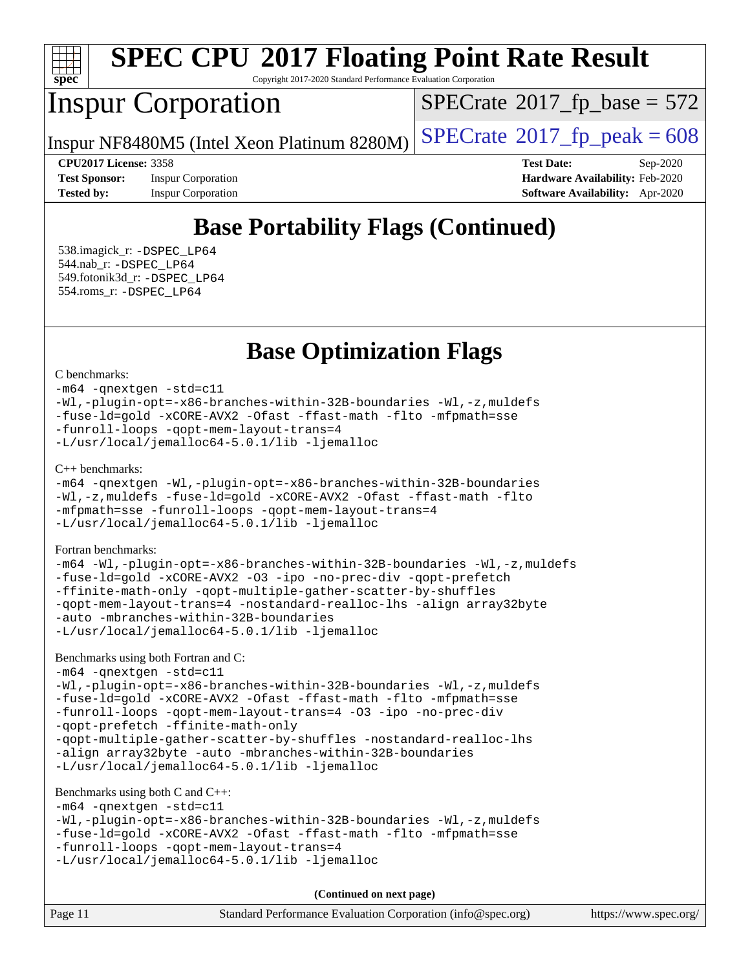

Copyright 2017-2020 Standard Performance Evaluation Corporation

## Inspur Corporation

 $SPECTate$ <sup>®</sup>[2017\\_fp\\_base =](http://www.spec.org/auto/cpu2017/Docs/result-fields.html#SPECrate2017fpbase) 572

Inspur NF8480M5 (Intel Xeon Platinum 8280M)  $\left|$  [SPECrate](http://www.spec.org/auto/cpu2017/Docs/result-fields.html#SPECrate2017fppeak)<sup>®</sup>[2017\\_fp\\_peak = 6](http://www.spec.org/auto/cpu2017/Docs/result-fields.html#SPECrate2017fppeak)08

**[Tested by:](http://www.spec.org/auto/cpu2017/Docs/result-fields.html#Testedby)** Inspur Corporation **[Software Availability:](http://www.spec.org/auto/cpu2017/Docs/result-fields.html#SoftwareAvailability)** Apr-2020

**[CPU2017 License:](http://www.spec.org/auto/cpu2017/Docs/result-fields.html#CPU2017License)** 3358 **[Test Date:](http://www.spec.org/auto/cpu2017/Docs/result-fields.html#TestDate)** Sep-2020 **[Test Sponsor:](http://www.spec.org/auto/cpu2017/Docs/result-fields.html#TestSponsor)** Inspur Corporation **[Hardware Availability:](http://www.spec.org/auto/cpu2017/Docs/result-fields.html#HardwareAvailability)** Feb-2020

## **[Base Portability Flags \(Continued\)](http://www.spec.org/auto/cpu2017/Docs/result-fields.html#BasePortabilityFlags)**

 538.imagick\_r: [-DSPEC\\_LP64](http://www.spec.org/cpu2017/results/res2020q4/cpu2017-20200928-24048.flags.html#suite_basePORTABILITY538_imagick_r_DSPEC_LP64) 544.nab\_r: [-DSPEC\\_LP64](http://www.spec.org/cpu2017/results/res2020q4/cpu2017-20200928-24048.flags.html#suite_basePORTABILITY544_nab_r_DSPEC_LP64) 549.fotonik3d\_r: [-DSPEC\\_LP64](http://www.spec.org/cpu2017/results/res2020q4/cpu2017-20200928-24048.flags.html#suite_basePORTABILITY549_fotonik3d_r_DSPEC_LP64) 554.roms\_r: [-DSPEC\\_LP64](http://www.spec.org/cpu2017/results/res2020q4/cpu2017-20200928-24048.flags.html#suite_basePORTABILITY554_roms_r_DSPEC_LP64)

**[Base Optimization Flags](http://www.spec.org/auto/cpu2017/Docs/result-fields.html#BaseOptimizationFlags)**

[C benchmarks](http://www.spec.org/auto/cpu2017/Docs/result-fields.html#Cbenchmarks):

[-m64](http://www.spec.org/cpu2017/results/res2020q4/cpu2017-20200928-24048.flags.html#user_CCbase_m64-icc) [-qnextgen](http://www.spec.org/cpu2017/results/res2020q4/cpu2017-20200928-24048.flags.html#user_CCbase_f-qnextgen) [-std=c11](http://www.spec.org/cpu2017/results/res2020q4/cpu2017-20200928-24048.flags.html#user_CCbase_std-icc-std_0e1c27790398a4642dfca32ffe6c27b5796f9c2d2676156f2e42c9c44eaad0c049b1cdb667a270c34d979996257aeb8fc440bfb01818dbc9357bd9d174cb8524) [-Wl,-plugin-opt=-x86-branches-within-32B-boundaries](http://www.spec.org/cpu2017/results/res2020q4/cpu2017-20200928-24048.flags.html#user_CCbase_f-x86-branches-within-32B-boundaries_0098b4e4317ae60947b7b728078a624952a08ac37a3c797dfb4ffeb399e0c61a9dd0f2f44ce917e9361fb9076ccb15e7824594512dd315205382d84209e912f3) [-Wl,-z,muldefs](http://www.spec.org/cpu2017/results/res2020q4/cpu2017-20200928-24048.flags.html#user_CCbase_link_force_multiple1_b4cbdb97b34bdee9ceefcfe54f4c8ea74255f0b02a4b23e853cdb0e18eb4525ac79b5a88067c842dd0ee6996c24547a27a4b99331201badda8798ef8a743f577) [-fuse-ld=gold](http://www.spec.org/cpu2017/results/res2020q4/cpu2017-20200928-24048.flags.html#user_CCbase_f-fuse-ld_920b3586e2b8c6e0748b9c84fa9b744736ba725a32cab14ad8f3d4ad28eecb2f59d1144823d2e17006539a88734fe1fc08fc3035f7676166309105a78aaabc32) [-xCORE-AVX2](http://www.spec.org/cpu2017/results/res2020q4/cpu2017-20200928-24048.flags.html#user_CCbase_f-xCORE-AVX2) [-Ofast](http://www.spec.org/cpu2017/results/res2020q4/cpu2017-20200928-24048.flags.html#user_CCbase_f-Ofast) [-ffast-math](http://www.spec.org/cpu2017/results/res2020q4/cpu2017-20200928-24048.flags.html#user_CCbase_f-ffast-math) [-flto](http://www.spec.org/cpu2017/results/res2020q4/cpu2017-20200928-24048.flags.html#user_CCbase_f-flto) [-mfpmath=sse](http://www.spec.org/cpu2017/results/res2020q4/cpu2017-20200928-24048.flags.html#user_CCbase_f-mfpmath_70eb8fac26bde974f8ab713bc9086c5621c0b8d2f6c86f38af0bd7062540daf19db5f3a066d8c6684be05d84c9b6322eb3b5be6619d967835195b93d6c02afa1) [-funroll-loops](http://www.spec.org/cpu2017/results/res2020q4/cpu2017-20200928-24048.flags.html#user_CCbase_f-funroll-loops) [-qopt-mem-layout-trans=4](http://www.spec.org/cpu2017/results/res2020q4/cpu2017-20200928-24048.flags.html#user_CCbase_f-qopt-mem-layout-trans_fa39e755916c150a61361b7846f310bcdf6f04e385ef281cadf3647acec3f0ae266d1a1d22d972a7087a248fd4e6ca390a3634700869573d231a252c784941a8) [-L/usr/local/jemalloc64-5.0.1/lib](http://www.spec.org/cpu2017/results/res2020q4/cpu2017-20200928-24048.flags.html#user_CCbase_jemalloc_link_path64_1_cc289568b1a6c0fd3b62c91b824c27fcb5af5e8098e6ad028160d21144ef1b8aef3170d2acf0bee98a8da324cfe4f67d0a3d0c4cc4673d993d694dc2a0df248b) [-ljemalloc](http://www.spec.org/cpu2017/results/res2020q4/cpu2017-20200928-24048.flags.html#user_CCbase_jemalloc_link_lib_d1249b907c500fa1c0672f44f562e3d0f79738ae9e3c4a9c376d49f265a04b9c99b167ecedbf6711b3085be911c67ff61f150a17b3472be731631ba4d0471706)

[C++ benchmarks:](http://www.spec.org/auto/cpu2017/Docs/result-fields.html#CXXbenchmarks)

[-m64](http://www.spec.org/cpu2017/results/res2020q4/cpu2017-20200928-24048.flags.html#user_CXXbase_m64-icc) [-qnextgen](http://www.spec.org/cpu2017/results/res2020q4/cpu2017-20200928-24048.flags.html#user_CXXbase_f-qnextgen) [-Wl,-plugin-opt=-x86-branches-within-32B-boundaries](http://www.spec.org/cpu2017/results/res2020q4/cpu2017-20200928-24048.flags.html#user_CXXbase_f-x86-branches-within-32B-boundaries_0098b4e4317ae60947b7b728078a624952a08ac37a3c797dfb4ffeb399e0c61a9dd0f2f44ce917e9361fb9076ccb15e7824594512dd315205382d84209e912f3) [-Wl,-z,muldefs](http://www.spec.org/cpu2017/results/res2020q4/cpu2017-20200928-24048.flags.html#user_CXXbase_link_force_multiple1_b4cbdb97b34bdee9ceefcfe54f4c8ea74255f0b02a4b23e853cdb0e18eb4525ac79b5a88067c842dd0ee6996c24547a27a4b99331201badda8798ef8a743f577) [-fuse-ld=gold](http://www.spec.org/cpu2017/results/res2020q4/cpu2017-20200928-24048.flags.html#user_CXXbase_f-fuse-ld_920b3586e2b8c6e0748b9c84fa9b744736ba725a32cab14ad8f3d4ad28eecb2f59d1144823d2e17006539a88734fe1fc08fc3035f7676166309105a78aaabc32) [-xCORE-AVX2](http://www.spec.org/cpu2017/results/res2020q4/cpu2017-20200928-24048.flags.html#user_CXXbase_f-xCORE-AVX2) [-Ofast](http://www.spec.org/cpu2017/results/res2020q4/cpu2017-20200928-24048.flags.html#user_CXXbase_f-Ofast) [-ffast-math](http://www.spec.org/cpu2017/results/res2020q4/cpu2017-20200928-24048.flags.html#user_CXXbase_f-ffast-math) [-flto](http://www.spec.org/cpu2017/results/res2020q4/cpu2017-20200928-24048.flags.html#user_CXXbase_f-flto) [-mfpmath=sse](http://www.spec.org/cpu2017/results/res2020q4/cpu2017-20200928-24048.flags.html#user_CXXbase_f-mfpmath_70eb8fac26bde974f8ab713bc9086c5621c0b8d2f6c86f38af0bd7062540daf19db5f3a066d8c6684be05d84c9b6322eb3b5be6619d967835195b93d6c02afa1) [-funroll-loops](http://www.spec.org/cpu2017/results/res2020q4/cpu2017-20200928-24048.flags.html#user_CXXbase_f-funroll-loops) [-qopt-mem-layout-trans=4](http://www.spec.org/cpu2017/results/res2020q4/cpu2017-20200928-24048.flags.html#user_CXXbase_f-qopt-mem-layout-trans_fa39e755916c150a61361b7846f310bcdf6f04e385ef281cadf3647acec3f0ae266d1a1d22d972a7087a248fd4e6ca390a3634700869573d231a252c784941a8) [-L/usr/local/jemalloc64-5.0.1/lib](http://www.spec.org/cpu2017/results/res2020q4/cpu2017-20200928-24048.flags.html#user_CXXbase_jemalloc_link_path64_1_cc289568b1a6c0fd3b62c91b824c27fcb5af5e8098e6ad028160d21144ef1b8aef3170d2acf0bee98a8da324cfe4f67d0a3d0c4cc4673d993d694dc2a0df248b) [-ljemalloc](http://www.spec.org/cpu2017/results/res2020q4/cpu2017-20200928-24048.flags.html#user_CXXbase_jemalloc_link_lib_d1249b907c500fa1c0672f44f562e3d0f79738ae9e3c4a9c376d49f265a04b9c99b167ecedbf6711b3085be911c67ff61f150a17b3472be731631ba4d0471706)

[Fortran benchmarks](http://www.spec.org/auto/cpu2017/Docs/result-fields.html#Fortranbenchmarks):

[-m64](http://www.spec.org/cpu2017/results/res2020q4/cpu2017-20200928-24048.flags.html#user_FCbase_m64-icc) [-Wl,-plugin-opt=-x86-branches-within-32B-boundaries](http://www.spec.org/cpu2017/results/res2020q4/cpu2017-20200928-24048.flags.html#user_FCbase_f-x86-branches-within-32B-boundaries_0098b4e4317ae60947b7b728078a624952a08ac37a3c797dfb4ffeb399e0c61a9dd0f2f44ce917e9361fb9076ccb15e7824594512dd315205382d84209e912f3) [-Wl,-z,muldefs](http://www.spec.org/cpu2017/results/res2020q4/cpu2017-20200928-24048.flags.html#user_FCbase_link_force_multiple1_b4cbdb97b34bdee9ceefcfe54f4c8ea74255f0b02a4b23e853cdb0e18eb4525ac79b5a88067c842dd0ee6996c24547a27a4b99331201badda8798ef8a743f577) [-fuse-ld=gold](http://www.spec.org/cpu2017/results/res2020q4/cpu2017-20200928-24048.flags.html#user_FCbase_f-fuse-ld_920b3586e2b8c6e0748b9c84fa9b744736ba725a32cab14ad8f3d4ad28eecb2f59d1144823d2e17006539a88734fe1fc08fc3035f7676166309105a78aaabc32) [-xCORE-AVX2](http://www.spec.org/cpu2017/results/res2020q4/cpu2017-20200928-24048.flags.html#user_FCbase_f-xCORE-AVX2) [-O3](http://www.spec.org/cpu2017/results/res2020q4/cpu2017-20200928-24048.flags.html#user_FCbase_f-O3) [-ipo](http://www.spec.org/cpu2017/results/res2020q4/cpu2017-20200928-24048.flags.html#user_FCbase_f-ipo) [-no-prec-div](http://www.spec.org/cpu2017/results/res2020q4/cpu2017-20200928-24048.flags.html#user_FCbase_f-no-prec-div) [-qopt-prefetch](http://www.spec.org/cpu2017/results/res2020q4/cpu2017-20200928-24048.flags.html#user_FCbase_f-qopt-prefetch) [-ffinite-math-only](http://www.spec.org/cpu2017/results/res2020q4/cpu2017-20200928-24048.flags.html#user_FCbase_f_finite_math_only_cb91587bd2077682c4b38af759c288ed7c732db004271a9512da14a4f8007909a5f1427ecbf1a0fb78ff2a814402c6114ac565ca162485bbcae155b5e4258871) [-qopt-multiple-gather-scatter-by-shuffles](http://www.spec.org/cpu2017/results/res2020q4/cpu2017-20200928-24048.flags.html#user_FCbase_f-qopt-multiple-gather-scatter-by-shuffles) [-qopt-mem-layout-trans=4](http://www.spec.org/cpu2017/results/res2020q4/cpu2017-20200928-24048.flags.html#user_FCbase_f-qopt-mem-layout-trans_fa39e755916c150a61361b7846f310bcdf6f04e385ef281cadf3647acec3f0ae266d1a1d22d972a7087a248fd4e6ca390a3634700869573d231a252c784941a8) [-nostandard-realloc-lhs](http://www.spec.org/cpu2017/results/res2020q4/cpu2017-20200928-24048.flags.html#user_FCbase_f_2003_std_realloc_82b4557e90729c0f113870c07e44d33d6f5a304b4f63d4c15d2d0f1fab99f5daaed73bdb9275d9ae411527f28b936061aa8b9c8f2d63842963b95c9dd6426b8a) [-align array32byte](http://www.spec.org/cpu2017/results/res2020q4/cpu2017-20200928-24048.flags.html#user_FCbase_align_array32byte_b982fe038af199962ba9a80c053b8342c548c85b40b8e86eb3cc33dee0d7986a4af373ac2d51c3f7cf710a18d62fdce2948f201cd044323541f22fc0fffc51b6) [-auto](http://www.spec.org/cpu2017/results/res2020q4/cpu2017-20200928-24048.flags.html#user_FCbase_f-auto) [-mbranches-within-32B-boundaries](http://www.spec.org/cpu2017/results/res2020q4/cpu2017-20200928-24048.flags.html#user_FCbase_f-mbranches-within-32B-boundaries) [-L/usr/local/jemalloc64-5.0.1/lib](http://www.spec.org/cpu2017/results/res2020q4/cpu2017-20200928-24048.flags.html#user_FCbase_jemalloc_link_path64_1_cc289568b1a6c0fd3b62c91b824c27fcb5af5e8098e6ad028160d21144ef1b8aef3170d2acf0bee98a8da324cfe4f67d0a3d0c4cc4673d993d694dc2a0df248b) [-ljemalloc](http://www.spec.org/cpu2017/results/res2020q4/cpu2017-20200928-24048.flags.html#user_FCbase_jemalloc_link_lib_d1249b907c500fa1c0672f44f562e3d0f79738ae9e3c4a9c376d49f265a04b9c99b167ecedbf6711b3085be911c67ff61f150a17b3472be731631ba4d0471706)

[Benchmarks using both Fortran and C](http://www.spec.org/auto/cpu2017/Docs/result-fields.html#BenchmarksusingbothFortranandC):

[-m64](http://www.spec.org/cpu2017/results/res2020q4/cpu2017-20200928-24048.flags.html#user_CC_FCbase_m64-icc) [-qnextgen](http://www.spec.org/cpu2017/results/res2020q4/cpu2017-20200928-24048.flags.html#user_CC_FCbase_f-qnextgen) [-std=c11](http://www.spec.org/cpu2017/results/res2020q4/cpu2017-20200928-24048.flags.html#user_CC_FCbase_std-icc-std_0e1c27790398a4642dfca32ffe6c27b5796f9c2d2676156f2e42c9c44eaad0c049b1cdb667a270c34d979996257aeb8fc440bfb01818dbc9357bd9d174cb8524) [-Wl,-plugin-opt=-x86-branches-within-32B-boundaries](http://www.spec.org/cpu2017/results/res2020q4/cpu2017-20200928-24048.flags.html#user_CC_FCbase_f-x86-branches-within-32B-boundaries_0098b4e4317ae60947b7b728078a624952a08ac37a3c797dfb4ffeb399e0c61a9dd0f2f44ce917e9361fb9076ccb15e7824594512dd315205382d84209e912f3) [-Wl,-z,muldefs](http://www.spec.org/cpu2017/results/res2020q4/cpu2017-20200928-24048.flags.html#user_CC_FCbase_link_force_multiple1_b4cbdb97b34bdee9ceefcfe54f4c8ea74255f0b02a4b23e853cdb0e18eb4525ac79b5a88067c842dd0ee6996c24547a27a4b99331201badda8798ef8a743f577) [-fuse-ld=gold](http://www.spec.org/cpu2017/results/res2020q4/cpu2017-20200928-24048.flags.html#user_CC_FCbase_f-fuse-ld_920b3586e2b8c6e0748b9c84fa9b744736ba725a32cab14ad8f3d4ad28eecb2f59d1144823d2e17006539a88734fe1fc08fc3035f7676166309105a78aaabc32) [-xCORE-AVX2](http://www.spec.org/cpu2017/results/res2020q4/cpu2017-20200928-24048.flags.html#user_CC_FCbase_f-xCORE-AVX2) [-Ofast](http://www.spec.org/cpu2017/results/res2020q4/cpu2017-20200928-24048.flags.html#user_CC_FCbase_f-Ofast) [-ffast-math](http://www.spec.org/cpu2017/results/res2020q4/cpu2017-20200928-24048.flags.html#user_CC_FCbase_f-ffast-math) [-flto](http://www.spec.org/cpu2017/results/res2020q4/cpu2017-20200928-24048.flags.html#user_CC_FCbase_f-flto) [-mfpmath=sse](http://www.spec.org/cpu2017/results/res2020q4/cpu2017-20200928-24048.flags.html#user_CC_FCbase_f-mfpmath_70eb8fac26bde974f8ab713bc9086c5621c0b8d2f6c86f38af0bd7062540daf19db5f3a066d8c6684be05d84c9b6322eb3b5be6619d967835195b93d6c02afa1) [-funroll-loops](http://www.spec.org/cpu2017/results/res2020q4/cpu2017-20200928-24048.flags.html#user_CC_FCbase_f-funroll-loops) [-qopt-mem-layout-trans=4](http://www.spec.org/cpu2017/results/res2020q4/cpu2017-20200928-24048.flags.html#user_CC_FCbase_f-qopt-mem-layout-trans_fa39e755916c150a61361b7846f310bcdf6f04e385ef281cadf3647acec3f0ae266d1a1d22d972a7087a248fd4e6ca390a3634700869573d231a252c784941a8) [-O3](http://www.spec.org/cpu2017/results/res2020q4/cpu2017-20200928-24048.flags.html#user_CC_FCbase_f-O3) [-ipo](http://www.spec.org/cpu2017/results/res2020q4/cpu2017-20200928-24048.flags.html#user_CC_FCbase_f-ipo) [-no-prec-div](http://www.spec.org/cpu2017/results/res2020q4/cpu2017-20200928-24048.flags.html#user_CC_FCbase_f-no-prec-div) [-qopt-prefetch](http://www.spec.org/cpu2017/results/res2020q4/cpu2017-20200928-24048.flags.html#user_CC_FCbase_f-qopt-prefetch) [-ffinite-math-only](http://www.spec.org/cpu2017/results/res2020q4/cpu2017-20200928-24048.flags.html#user_CC_FCbase_f_finite_math_only_cb91587bd2077682c4b38af759c288ed7c732db004271a9512da14a4f8007909a5f1427ecbf1a0fb78ff2a814402c6114ac565ca162485bbcae155b5e4258871) [-qopt-multiple-gather-scatter-by-shuffles](http://www.spec.org/cpu2017/results/res2020q4/cpu2017-20200928-24048.flags.html#user_CC_FCbase_f-qopt-multiple-gather-scatter-by-shuffles) [-nostandard-realloc-lhs](http://www.spec.org/cpu2017/results/res2020q4/cpu2017-20200928-24048.flags.html#user_CC_FCbase_f_2003_std_realloc_82b4557e90729c0f113870c07e44d33d6f5a304b4f63d4c15d2d0f1fab99f5daaed73bdb9275d9ae411527f28b936061aa8b9c8f2d63842963b95c9dd6426b8a) [-align array32byte](http://www.spec.org/cpu2017/results/res2020q4/cpu2017-20200928-24048.flags.html#user_CC_FCbase_align_array32byte_b982fe038af199962ba9a80c053b8342c548c85b40b8e86eb3cc33dee0d7986a4af373ac2d51c3f7cf710a18d62fdce2948f201cd044323541f22fc0fffc51b6) [-auto](http://www.spec.org/cpu2017/results/res2020q4/cpu2017-20200928-24048.flags.html#user_CC_FCbase_f-auto) [-mbranches-within-32B-boundaries](http://www.spec.org/cpu2017/results/res2020q4/cpu2017-20200928-24048.flags.html#user_CC_FCbase_f-mbranches-within-32B-boundaries) [-L/usr/local/jemalloc64-5.0.1/lib](http://www.spec.org/cpu2017/results/res2020q4/cpu2017-20200928-24048.flags.html#user_CC_FCbase_jemalloc_link_path64_1_cc289568b1a6c0fd3b62c91b824c27fcb5af5e8098e6ad028160d21144ef1b8aef3170d2acf0bee98a8da324cfe4f67d0a3d0c4cc4673d993d694dc2a0df248b) [-ljemalloc](http://www.spec.org/cpu2017/results/res2020q4/cpu2017-20200928-24048.flags.html#user_CC_FCbase_jemalloc_link_lib_d1249b907c500fa1c0672f44f562e3d0f79738ae9e3c4a9c376d49f265a04b9c99b167ecedbf6711b3085be911c67ff61f150a17b3472be731631ba4d0471706)

#### [Benchmarks using both C and C++](http://www.spec.org/auto/cpu2017/Docs/result-fields.html#BenchmarksusingbothCandCXX):

```
-m64 -qnextgen -std=c11
-Wl,-plugin-opt=-x86-branches-within-32B-boundaries -Wl,-z,muldefs
-fuse-ld=gold -xCORE-AVX2 -Ofast -ffast-math -flto -mfpmath=sse
-funroll-loops -qopt-mem-layout-trans=4
-L/usr/local/jemalloc64-5.0.1/lib -ljemalloc
```
Page 11 Standard Performance Evaluation Corporation [\(info@spec.org\)](mailto:info@spec.org) <https://www.spec.org/> **(Continued on next page)**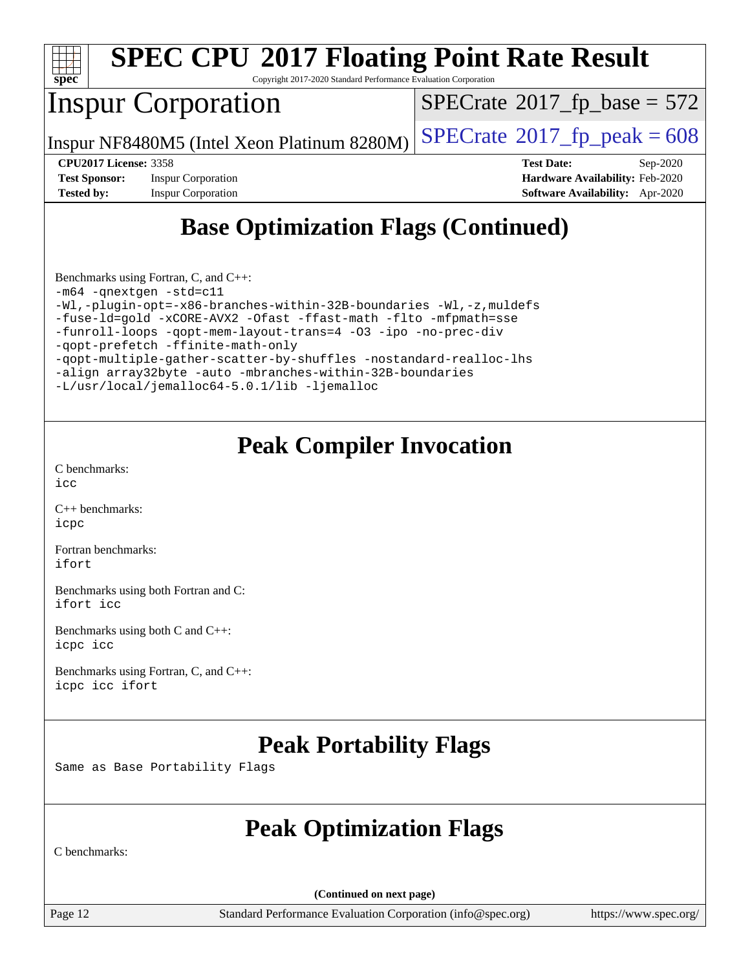

Copyright 2017-2020 Standard Performance Evaluation Corporation

# Inspur Corporation

 $SPECTate$ <sup>®</sup>[2017\\_fp\\_base =](http://www.spec.org/auto/cpu2017/Docs/result-fields.html#SPECrate2017fpbase) 572

Inspur NF8480M5 (Intel Xeon Platinum 8280M)  $\left|$  [SPECrate](http://www.spec.org/auto/cpu2017/Docs/result-fields.html#SPECrate2017fppeak)<sup>®</sup>[2017\\_fp\\_peak = 6](http://www.spec.org/auto/cpu2017/Docs/result-fields.html#SPECrate2017fppeak)08

**[Test Sponsor:](http://www.spec.org/auto/cpu2017/Docs/result-fields.html#TestSponsor)** Inspur Corporation **[Hardware Availability:](http://www.spec.org/auto/cpu2017/Docs/result-fields.html#HardwareAvailability)** Feb-2020 **[Tested by:](http://www.spec.org/auto/cpu2017/Docs/result-fields.html#Testedby)** Inspur Corporation **[Software Availability:](http://www.spec.org/auto/cpu2017/Docs/result-fields.html#SoftwareAvailability)** Apr-2020

**[CPU2017 License:](http://www.spec.org/auto/cpu2017/Docs/result-fields.html#CPU2017License)** 3358 **[Test Date:](http://www.spec.org/auto/cpu2017/Docs/result-fields.html#TestDate)** Sep-2020

# **[Base Optimization Flags \(Continued\)](http://www.spec.org/auto/cpu2017/Docs/result-fields.html#BaseOptimizationFlags)**

[Benchmarks using Fortran, C, and C++:](http://www.spec.org/auto/cpu2017/Docs/result-fields.html#BenchmarksusingFortranCandCXX) [-m64](http://www.spec.org/cpu2017/results/res2020q4/cpu2017-20200928-24048.flags.html#user_CC_CXX_FCbase_m64-icc) [-qnextgen](http://www.spec.org/cpu2017/results/res2020q4/cpu2017-20200928-24048.flags.html#user_CC_CXX_FCbase_f-qnextgen) [-std=c11](http://www.spec.org/cpu2017/results/res2020q4/cpu2017-20200928-24048.flags.html#user_CC_CXX_FCbase_std-icc-std_0e1c27790398a4642dfca32ffe6c27b5796f9c2d2676156f2e42c9c44eaad0c049b1cdb667a270c34d979996257aeb8fc440bfb01818dbc9357bd9d174cb8524) [-Wl,-plugin-opt=-x86-branches-within-32B-boundaries](http://www.spec.org/cpu2017/results/res2020q4/cpu2017-20200928-24048.flags.html#user_CC_CXX_FCbase_f-x86-branches-within-32B-boundaries_0098b4e4317ae60947b7b728078a624952a08ac37a3c797dfb4ffeb399e0c61a9dd0f2f44ce917e9361fb9076ccb15e7824594512dd315205382d84209e912f3) [-Wl,-z,muldefs](http://www.spec.org/cpu2017/results/res2020q4/cpu2017-20200928-24048.flags.html#user_CC_CXX_FCbase_link_force_multiple1_b4cbdb97b34bdee9ceefcfe54f4c8ea74255f0b02a4b23e853cdb0e18eb4525ac79b5a88067c842dd0ee6996c24547a27a4b99331201badda8798ef8a743f577) [-fuse-ld=gold](http://www.spec.org/cpu2017/results/res2020q4/cpu2017-20200928-24048.flags.html#user_CC_CXX_FCbase_f-fuse-ld_920b3586e2b8c6e0748b9c84fa9b744736ba725a32cab14ad8f3d4ad28eecb2f59d1144823d2e17006539a88734fe1fc08fc3035f7676166309105a78aaabc32) [-xCORE-AVX2](http://www.spec.org/cpu2017/results/res2020q4/cpu2017-20200928-24048.flags.html#user_CC_CXX_FCbase_f-xCORE-AVX2) [-Ofast](http://www.spec.org/cpu2017/results/res2020q4/cpu2017-20200928-24048.flags.html#user_CC_CXX_FCbase_f-Ofast) [-ffast-math](http://www.spec.org/cpu2017/results/res2020q4/cpu2017-20200928-24048.flags.html#user_CC_CXX_FCbase_f-ffast-math) [-flto](http://www.spec.org/cpu2017/results/res2020q4/cpu2017-20200928-24048.flags.html#user_CC_CXX_FCbase_f-flto) [-mfpmath=sse](http://www.spec.org/cpu2017/results/res2020q4/cpu2017-20200928-24048.flags.html#user_CC_CXX_FCbase_f-mfpmath_70eb8fac26bde974f8ab713bc9086c5621c0b8d2f6c86f38af0bd7062540daf19db5f3a066d8c6684be05d84c9b6322eb3b5be6619d967835195b93d6c02afa1) [-funroll-loops](http://www.spec.org/cpu2017/results/res2020q4/cpu2017-20200928-24048.flags.html#user_CC_CXX_FCbase_f-funroll-loops) [-qopt-mem-layout-trans=4](http://www.spec.org/cpu2017/results/res2020q4/cpu2017-20200928-24048.flags.html#user_CC_CXX_FCbase_f-qopt-mem-layout-trans_fa39e755916c150a61361b7846f310bcdf6f04e385ef281cadf3647acec3f0ae266d1a1d22d972a7087a248fd4e6ca390a3634700869573d231a252c784941a8) [-O3](http://www.spec.org/cpu2017/results/res2020q4/cpu2017-20200928-24048.flags.html#user_CC_CXX_FCbase_f-O3) [-ipo](http://www.spec.org/cpu2017/results/res2020q4/cpu2017-20200928-24048.flags.html#user_CC_CXX_FCbase_f-ipo) [-no-prec-div](http://www.spec.org/cpu2017/results/res2020q4/cpu2017-20200928-24048.flags.html#user_CC_CXX_FCbase_f-no-prec-div) [-qopt-prefetch](http://www.spec.org/cpu2017/results/res2020q4/cpu2017-20200928-24048.flags.html#user_CC_CXX_FCbase_f-qopt-prefetch) [-ffinite-math-only](http://www.spec.org/cpu2017/results/res2020q4/cpu2017-20200928-24048.flags.html#user_CC_CXX_FCbase_f_finite_math_only_cb91587bd2077682c4b38af759c288ed7c732db004271a9512da14a4f8007909a5f1427ecbf1a0fb78ff2a814402c6114ac565ca162485bbcae155b5e4258871) [-qopt-multiple-gather-scatter-by-shuffles](http://www.spec.org/cpu2017/results/res2020q4/cpu2017-20200928-24048.flags.html#user_CC_CXX_FCbase_f-qopt-multiple-gather-scatter-by-shuffles) [-nostandard-realloc-lhs](http://www.spec.org/cpu2017/results/res2020q4/cpu2017-20200928-24048.flags.html#user_CC_CXX_FCbase_f_2003_std_realloc_82b4557e90729c0f113870c07e44d33d6f5a304b4f63d4c15d2d0f1fab99f5daaed73bdb9275d9ae411527f28b936061aa8b9c8f2d63842963b95c9dd6426b8a) [-align array32byte](http://www.spec.org/cpu2017/results/res2020q4/cpu2017-20200928-24048.flags.html#user_CC_CXX_FCbase_align_array32byte_b982fe038af199962ba9a80c053b8342c548c85b40b8e86eb3cc33dee0d7986a4af373ac2d51c3f7cf710a18d62fdce2948f201cd044323541f22fc0fffc51b6) [-auto](http://www.spec.org/cpu2017/results/res2020q4/cpu2017-20200928-24048.flags.html#user_CC_CXX_FCbase_f-auto) [-mbranches-within-32B-boundaries](http://www.spec.org/cpu2017/results/res2020q4/cpu2017-20200928-24048.flags.html#user_CC_CXX_FCbase_f-mbranches-within-32B-boundaries) [-L/usr/local/jemalloc64-5.0.1/lib](http://www.spec.org/cpu2017/results/res2020q4/cpu2017-20200928-24048.flags.html#user_CC_CXX_FCbase_jemalloc_link_path64_1_cc289568b1a6c0fd3b62c91b824c27fcb5af5e8098e6ad028160d21144ef1b8aef3170d2acf0bee98a8da324cfe4f67d0a3d0c4cc4673d993d694dc2a0df248b) [-ljemalloc](http://www.spec.org/cpu2017/results/res2020q4/cpu2017-20200928-24048.flags.html#user_CC_CXX_FCbase_jemalloc_link_lib_d1249b907c500fa1c0672f44f562e3d0f79738ae9e3c4a9c376d49f265a04b9c99b167ecedbf6711b3085be911c67ff61f150a17b3472be731631ba4d0471706)

## **[Peak Compiler Invocation](http://www.spec.org/auto/cpu2017/Docs/result-fields.html#PeakCompilerInvocation)**

[C benchmarks](http://www.spec.org/auto/cpu2017/Docs/result-fields.html#Cbenchmarks):  $inc$ 

[C++ benchmarks:](http://www.spec.org/auto/cpu2017/Docs/result-fields.html#CXXbenchmarks) [icpc](http://www.spec.org/cpu2017/results/res2020q4/cpu2017-20200928-24048.flags.html#user_CXXpeak_intel_icpc_c510b6838c7f56d33e37e94d029a35b4a7bccf4766a728ee175e80a419847e808290a9b78be685c44ab727ea267ec2f070ec5dc83b407c0218cded6866a35d07)

[Fortran benchmarks](http://www.spec.org/auto/cpu2017/Docs/result-fields.html#Fortranbenchmarks): [ifort](http://www.spec.org/cpu2017/results/res2020q4/cpu2017-20200928-24048.flags.html#user_FCpeak_intel_ifort_8111460550e3ca792625aed983ce982f94888b8b503583aa7ba2b8303487b4d8a21a13e7191a45c5fd58ff318f48f9492884d4413fa793fd88dd292cad7027ca)

[Benchmarks using both Fortran and C](http://www.spec.org/auto/cpu2017/Docs/result-fields.html#BenchmarksusingbothFortranandC): [ifort](http://www.spec.org/cpu2017/results/res2020q4/cpu2017-20200928-24048.flags.html#user_CC_FCpeak_intel_ifort_8111460550e3ca792625aed983ce982f94888b8b503583aa7ba2b8303487b4d8a21a13e7191a45c5fd58ff318f48f9492884d4413fa793fd88dd292cad7027ca) [icc](http://www.spec.org/cpu2017/results/res2020q4/cpu2017-20200928-24048.flags.html#user_CC_FCpeak_intel_icc_66fc1ee009f7361af1fbd72ca7dcefbb700085f36577c54f309893dd4ec40d12360134090235512931783d35fd58c0460139e722d5067c5574d8eaf2b3e37e92)

[Benchmarks using both C and C++](http://www.spec.org/auto/cpu2017/Docs/result-fields.html#BenchmarksusingbothCandCXX): [icpc](http://www.spec.org/cpu2017/results/res2020q4/cpu2017-20200928-24048.flags.html#user_CC_CXXpeak_intel_icpc_c510b6838c7f56d33e37e94d029a35b4a7bccf4766a728ee175e80a419847e808290a9b78be685c44ab727ea267ec2f070ec5dc83b407c0218cded6866a35d07) [icc](http://www.spec.org/cpu2017/results/res2020q4/cpu2017-20200928-24048.flags.html#user_CC_CXXpeak_intel_icc_66fc1ee009f7361af1fbd72ca7dcefbb700085f36577c54f309893dd4ec40d12360134090235512931783d35fd58c0460139e722d5067c5574d8eaf2b3e37e92)

[Benchmarks using Fortran, C, and C++:](http://www.spec.org/auto/cpu2017/Docs/result-fields.html#BenchmarksusingFortranCandCXX) [icpc](http://www.spec.org/cpu2017/results/res2020q4/cpu2017-20200928-24048.flags.html#user_CC_CXX_FCpeak_intel_icpc_c510b6838c7f56d33e37e94d029a35b4a7bccf4766a728ee175e80a419847e808290a9b78be685c44ab727ea267ec2f070ec5dc83b407c0218cded6866a35d07) [icc](http://www.spec.org/cpu2017/results/res2020q4/cpu2017-20200928-24048.flags.html#user_CC_CXX_FCpeak_intel_icc_66fc1ee009f7361af1fbd72ca7dcefbb700085f36577c54f309893dd4ec40d12360134090235512931783d35fd58c0460139e722d5067c5574d8eaf2b3e37e92) [ifort](http://www.spec.org/cpu2017/results/res2020q4/cpu2017-20200928-24048.flags.html#user_CC_CXX_FCpeak_intel_ifort_8111460550e3ca792625aed983ce982f94888b8b503583aa7ba2b8303487b4d8a21a13e7191a45c5fd58ff318f48f9492884d4413fa793fd88dd292cad7027ca)

## **[Peak Portability Flags](http://www.spec.org/auto/cpu2017/Docs/result-fields.html#PeakPortabilityFlags)**

Same as Base Portability Flags

## **[Peak Optimization Flags](http://www.spec.org/auto/cpu2017/Docs/result-fields.html#PeakOptimizationFlags)**

[C benchmarks:](http://www.spec.org/auto/cpu2017/Docs/result-fields.html#Cbenchmarks)

**(Continued on next page)**

Page 12 Standard Performance Evaluation Corporation [\(info@spec.org\)](mailto:info@spec.org) <https://www.spec.org/>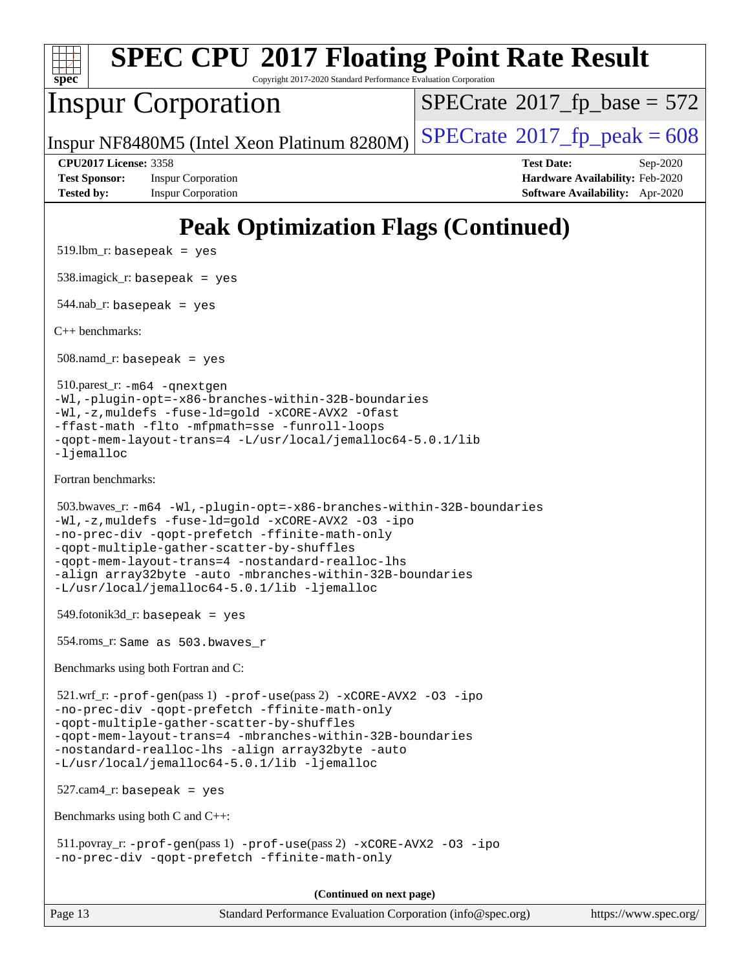

Copyright 2017-2020 Standard Performance Evaluation Corporation

## Inspur Corporation

 $SPECTate$ <sup>®</sup>[2017\\_fp\\_base =](http://www.spec.org/auto/cpu2017/Docs/result-fields.html#SPECrate2017fpbase) 572

Inspur NF8480M5 (Intel Xeon Platinum 8280M)  $\left|$  [SPECrate](http://www.spec.org/auto/cpu2017/Docs/result-fields.html#SPECrate2017fppeak)<sup>®</sup>[2017\\_fp\\_peak = 6](http://www.spec.org/auto/cpu2017/Docs/result-fields.html#SPECrate2017fppeak)08

**[Tested by:](http://www.spec.org/auto/cpu2017/Docs/result-fields.html#Testedby)** Inspur Corporation **[Software Availability:](http://www.spec.org/auto/cpu2017/Docs/result-fields.html#SoftwareAvailability)** Apr-2020

**[CPU2017 License:](http://www.spec.org/auto/cpu2017/Docs/result-fields.html#CPU2017License)** 3358 **[Test Date:](http://www.spec.org/auto/cpu2017/Docs/result-fields.html#TestDate)** Sep-2020 **[Test Sponsor:](http://www.spec.org/auto/cpu2017/Docs/result-fields.html#TestSponsor)** Inspur Corporation **[Hardware Availability:](http://www.spec.org/auto/cpu2017/Docs/result-fields.html#HardwareAvailability)** Feb-2020

# **[Peak Optimization Flags \(Continued\)](http://www.spec.org/auto/cpu2017/Docs/result-fields.html#PeakOptimizationFlags)**

 $519.$ lbm\_r: basepeak = yes

538.imagick\_r: basepeak = yes

544.nab\_r: basepeak = yes

[C++ benchmarks:](http://www.spec.org/auto/cpu2017/Docs/result-fields.html#CXXbenchmarks)

 $508$ .namd\_r: basepeak = yes

 510.parest\_r: [-m64](http://www.spec.org/cpu2017/results/res2020q4/cpu2017-20200928-24048.flags.html#user_peakCXXLD510_parest_r_m64-icc) [-qnextgen](http://www.spec.org/cpu2017/results/res2020q4/cpu2017-20200928-24048.flags.html#user_peakCXXLD510_parest_r_f-qnextgen) [-Wl,-plugin-opt=-x86-branches-within-32B-boundaries](http://www.spec.org/cpu2017/results/res2020q4/cpu2017-20200928-24048.flags.html#user_peakLDFLAGS510_parest_r_f-x86-branches-within-32B-boundaries_0098b4e4317ae60947b7b728078a624952a08ac37a3c797dfb4ffeb399e0c61a9dd0f2f44ce917e9361fb9076ccb15e7824594512dd315205382d84209e912f3) [-Wl,-z,muldefs](http://www.spec.org/cpu2017/results/res2020q4/cpu2017-20200928-24048.flags.html#user_peakEXTRA_LDFLAGS510_parest_r_link_force_multiple1_b4cbdb97b34bdee9ceefcfe54f4c8ea74255f0b02a4b23e853cdb0e18eb4525ac79b5a88067c842dd0ee6996c24547a27a4b99331201badda8798ef8a743f577) [-fuse-ld=gold](http://www.spec.org/cpu2017/results/res2020q4/cpu2017-20200928-24048.flags.html#user_peakEXTRA_LDFLAGS510_parest_r_f-fuse-ld_920b3586e2b8c6e0748b9c84fa9b744736ba725a32cab14ad8f3d4ad28eecb2f59d1144823d2e17006539a88734fe1fc08fc3035f7676166309105a78aaabc32) [-xCORE-AVX2](http://www.spec.org/cpu2017/results/res2020q4/cpu2017-20200928-24048.flags.html#user_peakCXXOPTIMIZE510_parest_r_f-xCORE-AVX2) [-Ofast](http://www.spec.org/cpu2017/results/res2020q4/cpu2017-20200928-24048.flags.html#user_peakCXXOPTIMIZE510_parest_r_f-Ofast) [-ffast-math](http://www.spec.org/cpu2017/results/res2020q4/cpu2017-20200928-24048.flags.html#user_peakCXXOPTIMIZE510_parest_r_f-ffast-math) [-flto](http://www.spec.org/cpu2017/results/res2020q4/cpu2017-20200928-24048.flags.html#user_peakCXXOPTIMIZE510_parest_r_f-flto) [-mfpmath=sse](http://www.spec.org/cpu2017/results/res2020q4/cpu2017-20200928-24048.flags.html#user_peakCXXOPTIMIZE510_parest_r_f-mfpmath_70eb8fac26bde974f8ab713bc9086c5621c0b8d2f6c86f38af0bd7062540daf19db5f3a066d8c6684be05d84c9b6322eb3b5be6619d967835195b93d6c02afa1) [-funroll-loops](http://www.spec.org/cpu2017/results/res2020q4/cpu2017-20200928-24048.flags.html#user_peakCXXOPTIMIZE510_parest_r_f-funroll-loops) [-qopt-mem-layout-trans=4](http://www.spec.org/cpu2017/results/res2020q4/cpu2017-20200928-24048.flags.html#user_peakCXXOPTIMIZE510_parest_r_f-qopt-mem-layout-trans_fa39e755916c150a61361b7846f310bcdf6f04e385ef281cadf3647acec3f0ae266d1a1d22d972a7087a248fd4e6ca390a3634700869573d231a252c784941a8) [-L/usr/local/jemalloc64-5.0.1/lib](http://www.spec.org/cpu2017/results/res2020q4/cpu2017-20200928-24048.flags.html#user_peakEXTRA_LIBS510_parest_r_jemalloc_link_path64_1_cc289568b1a6c0fd3b62c91b824c27fcb5af5e8098e6ad028160d21144ef1b8aef3170d2acf0bee98a8da324cfe4f67d0a3d0c4cc4673d993d694dc2a0df248b) -liemalloc

[Fortran benchmarks](http://www.spec.org/auto/cpu2017/Docs/result-fields.html#Fortranbenchmarks):

```
 503.bwaves_r: -m64 -Wl,-plugin-opt=-x86-branches-within-32B-boundaries
-Wl,-z,muldefs -fuse-ld=gold -xCORE-AVX2 -O3 -ipo
-no-prec-div -qopt-prefetch -ffinite-math-only
-qopt-multiple-gather-scatter-by-shuffles
-qopt-mem-layout-trans=4 -nostandard-realloc-lhs
-align array32byte -auto -mbranches-within-32B-boundaries
-L/usr/local/jemalloc64-5.0.1/lib -ljemalloc
```
 $549.$ fotonik $3d$ <sub>-</sub> $r:$  basepeak = yes

554.roms\_r: Same as 503.bwaves\_r

[Benchmarks using both Fortran and C:](http://www.spec.org/auto/cpu2017/Docs/result-fields.html#BenchmarksusingbothFortranandC)

 521.wrf\_r: [-prof-gen](http://www.spec.org/cpu2017/results/res2020q4/cpu2017-20200928-24048.flags.html#user_peakPASS1_CFLAGSPASS1_FFLAGSPASS1_LDFLAGS521_wrf_r_prof_gen_5aa4926d6013ddb2a31985c654b3eb18169fc0c6952a63635c234f711e6e63dd76e94ad52365559451ec499a2cdb89e4dc58ba4c67ef54ca681ffbe1461d6b36)(pass 1) [-prof-use](http://www.spec.org/cpu2017/results/res2020q4/cpu2017-20200928-24048.flags.html#user_peakPASS2_CFLAGSPASS2_FFLAGSPASS2_LDFLAGS521_wrf_r_prof_use_1a21ceae95f36a2b53c25747139a6c16ca95bd9def2a207b4f0849963b97e94f5260e30a0c64f4bb623698870e679ca08317ef8150905d41bd88c6f78df73f19)(pass 2) [-xCORE-AVX2](http://www.spec.org/cpu2017/results/res2020q4/cpu2017-20200928-24048.flags.html#user_peakCOPTIMIZEPASS2_COPTIMIZEPASS2_FOPTIMIZE521_wrf_r_f-xCORE-AVX2) [-O3](http://www.spec.org/cpu2017/results/res2020q4/cpu2017-20200928-24048.flags.html#user_peakCOPTIMIZEPASS1_COPTIMIZEPASS1_FOPTIMIZEPASS2_COPTIMIZEPASS2_FOPTIMIZE521_wrf_r_f-O3) [-ipo](http://www.spec.org/cpu2017/results/res2020q4/cpu2017-20200928-24048.flags.html#user_peakCOPTIMIZEPASS1_COPTIMIZEPASS1_FOPTIMIZEPASS2_COPTIMIZEPASS2_FOPTIMIZE521_wrf_r_f-ipo) [-no-prec-div](http://www.spec.org/cpu2017/results/res2020q4/cpu2017-20200928-24048.flags.html#user_peakCOPTIMIZEPASS1_COPTIMIZEPASS1_FOPTIMIZEPASS2_COPTIMIZEPASS2_FOPTIMIZE521_wrf_r_f-no-prec-div) [-qopt-prefetch](http://www.spec.org/cpu2017/results/res2020q4/cpu2017-20200928-24048.flags.html#user_peakCOPTIMIZEPASS1_COPTIMIZEPASS1_FOPTIMIZEPASS2_COPTIMIZEPASS2_FOPTIMIZE521_wrf_r_f-qopt-prefetch) [-ffinite-math-only](http://www.spec.org/cpu2017/results/res2020q4/cpu2017-20200928-24048.flags.html#user_peakCOPTIMIZEPASS1_COPTIMIZEPASS1_FOPTIMIZEPASS2_COPTIMIZEPASS2_FOPTIMIZE521_wrf_r_f_finite_math_only_cb91587bd2077682c4b38af759c288ed7c732db004271a9512da14a4f8007909a5f1427ecbf1a0fb78ff2a814402c6114ac565ca162485bbcae155b5e4258871) [-qopt-multiple-gather-scatter-by-shuffles](http://www.spec.org/cpu2017/results/res2020q4/cpu2017-20200928-24048.flags.html#user_peakCOPTIMIZEPASS1_COPTIMIZEPASS1_FOPTIMIZEPASS2_COPTIMIZEPASS2_FOPTIMIZE521_wrf_r_f-qopt-multiple-gather-scatter-by-shuffles) [-qopt-mem-layout-trans=4](http://www.spec.org/cpu2017/results/res2020q4/cpu2017-20200928-24048.flags.html#user_peakCOPTIMIZEFOPTIMIZEPASS1_COPTIMIZEPASS1_FOPTIMIZEPASS2_COPTIMIZEPASS2_FOPTIMIZE521_wrf_r_f-qopt-mem-layout-trans_fa39e755916c150a61361b7846f310bcdf6f04e385ef281cadf3647acec3f0ae266d1a1d22d972a7087a248fd4e6ca390a3634700869573d231a252c784941a8) [-mbranches-within-32B-boundaries](http://www.spec.org/cpu2017/results/res2020q4/cpu2017-20200928-24048.flags.html#user_peakEXTRA_COPTIMIZEEXTRA_FOPTIMIZE521_wrf_r_f-mbranches-within-32B-boundaries) [-nostandard-realloc-lhs](http://www.spec.org/cpu2017/results/res2020q4/cpu2017-20200928-24048.flags.html#user_peakEXTRA_FOPTIMIZE521_wrf_r_f_2003_std_realloc_82b4557e90729c0f113870c07e44d33d6f5a304b4f63d4c15d2d0f1fab99f5daaed73bdb9275d9ae411527f28b936061aa8b9c8f2d63842963b95c9dd6426b8a) [-align array32byte](http://www.spec.org/cpu2017/results/res2020q4/cpu2017-20200928-24048.flags.html#user_peakEXTRA_FOPTIMIZE521_wrf_r_align_array32byte_b982fe038af199962ba9a80c053b8342c548c85b40b8e86eb3cc33dee0d7986a4af373ac2d51c3f7cf710a18d62fdce2948f201cd044323541f22fc0fffc51b6) [-auto](http://www.spec.org/cpu2017/results/res2020q4/cpu2017-20200928-24048.flags.html#user_peakEXTRA_FOPTIMIZE521_wrf_r_f-auto) [-L/usr/local/jemalloc64-5.0.1/lib](http://www.spec.org/cpu2017/results/res2020q4/cpu2017-20200928-24048.flags.html#user_peakEXTRA_LIBS521_wrf_r_jemalloc_link_path64_1_cc289568b1a6c0fd3b62c91b824c27fcb5af5e8098e6ad028160d21144ef1b8aef3170d2acf0bee98a8da324cfe4f67d0a3d0c4cc4673d993d694dc2a0df248b) [-ljemalloc](http://www.spec.org/cpu2017/results/res2020q4/cpu2017-20200928-24048.flags.html#user_peakEXTRA_LIBS521_wrf_r_jemalloc_link_lib_d1249b907c500fa1c0672f44f562e3d0f79738ae9e3c4a9c376d49f265a04b9c99b167ecedbf6711b3085be911c67ff61f150a17b3472be731631ba4d0471706)

527.cam4\_r: basepeak = yes

[Benchmarks using both C and C++](http://www.spec.org/auto/cpu2017/Docs/result-fields.html#BenchmarksusingbothCandCXX):

 511.povray\_r: [-prof-gen](http://www.spec.org/cpu2017/results/res2020q4/cpu2017-20200928-24048.flags.html#user_peakPASS1_CFLAGSPASS1_CXXFLAGSPASS1_LDFLAGS511_povray_r_prof_gen_5aa4926d6013ddb2a31985c654b3eb18169fc0c6952a63635c234f711e6e63dd76e94ad52365559451ec499a2cdb89e4dc58ba4c67ef54ca681ffbe1461d6b36)(pass 1) [-prof-use](http://www.spec.org/cpu2017/results/res2020q4/cpu2017-20200928-24048.flags.html#user_peakPASS2_CFLAGSPASS2_CXXFLAGSPASS2_LDFLAGS511_povray_r_prof_use_1a21ceae95f36a2b53c25747139a6c16ca95bd9def2a207b4f0849963b97e94f5260e30a0c64f4bb623698870e679ca08317ef8150905d41bd88c6f78df73f19)(pass 2) [-xCORE-AVX2](http://www.spec.org/cpu2017/results/res2020q4/cpu2017-20200928-24048.flags.html#user_peakCOPTIMIZECXXOPTIMIZEPASS2_COPTIMIZEPASS2_CXXOPTIMIZE511_povray_r_f-xCORE-AVX2) [-O3](http://www.spec.org/cpu2017/results/res2020q4/cpu2017-20200928-24048.flags.html#user_peakCOPTIMIZECXXOPTIMIZEPASS1_COPTIMIZEPASS1_CXXOPTIMIZEPASS2_COPTIMIZEPASS2_CXXOPTIMIZE511_povray_r_f-O3) [-ipo](http://www.spec.org/cpu2017/results/res2020q4/cpu2017-20200928-24048.flags.html#user_peakCOPTIMIZECXXOPTIMIZEPASS1_COPTIMIZEPASS1_CXXOPTIMIZEPASS2_COPTIMIZEPASS2_CXXOPTIMIZE511_povray_r_f-ipo) [-no-prec-div](http://www.spec.org/cpu2017/results/res2020q4/cpu2017-20200928-24048.flags.html#user_peakCOPTIMIZECXXOPTIMIZEPASS1_COPTIMIZEPASS1_CXXOPTIMIZEPASS2_COPTIMIZEPASS2_CXXOPTIMIZE511_povray_r_f-no-prec-div) [-qopt-prefetch](http://www.spec.org/cpu2017/results/res2020q4/cpu2017-20200928-24048.flags.html#user_peakCOPTIMIZECXXOPTIMIZEPASS1_COPTIMIZEPASS1_CXXOPTIMIZEPASS2_COPTIMIZEPASS2_CXXOPTIMIZE511_povray_r_f-qopt-prefetch) [-ffinite-math-only](http://www.spec.org/cpu2017/results/res2020q4/cpu2017-20200928-24048.flags.html#user_peakCOPTIMIZECXXOPTIMIZEPASS1_COPTIMIZEPASS1_CXXOPTIMIZEPASS2_COPTIMIZEPASS2_CXXOPTIMIZE511_povray_r_f_finite_math_only_cb91587bd2077682c4b38af759c288ed7c732db004271a9512da14a4f8007909a5f1427ecbf1a0fb78ff2a814402c6114ac565ca162485bbcae155b5e4258871)

**(Continued on next page)**